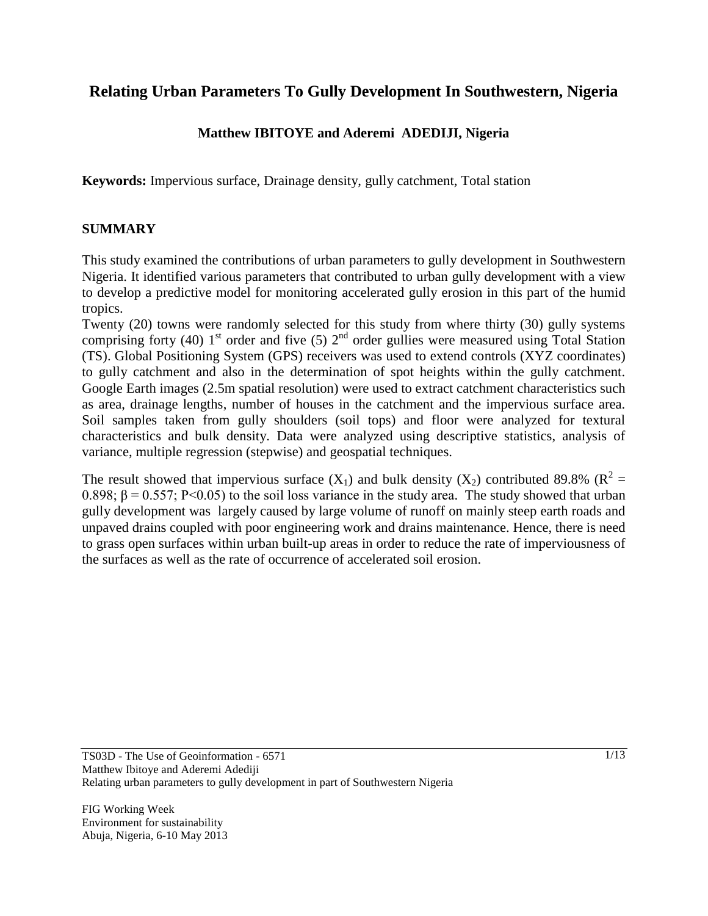# **Relating Urban Parameters To Gully Development In Southwestern, Nigeria**

## **Matthew IBITOYE and Aderemi ADEDIJI, Nigeria**

**Keywords:** Impervious surface, Drainage density, gully catchment, Total station

## **SUMMARY**

This study examined the contributions of urban parameters to gully development in Southwestern Nigeria. It identified various parameters that contributed to urban gully development with a view to develop a predictive model for monitoring accelerated gully erosion in this part of the humid tropics.

Twenty (20) towns were randomly selected for this study from where thirty (30) gully systems comprising forty (40)  $1<sup>st</sup>$  order and five (5)  $2<sup>nd</sup>$  order gullies were measured using Total Station (TS). Global Positioning System (GPS) receivers was used to extend controls (XYZ coordinates) to gully catchment and also in the determination of spot heights within the gully catchment. Google Earth images (2.5m spatial resolution) were used to extract catchment characteristics such as area, drainage lengths, number of houses in the catchment and the impervious surface area. Soil samples taken from gully shoulders (soil tops) and floor were analyzed for textural characteristics and bulk density. Data were analyzed using descriptive statistics, analysis of variance, multiple regression (stepwise) and geospatial techniques.

The result showed that impervious surface  $(X_1)$  and bulk density  $(X_2)$  contributed 89.8% ( $\mathbb{R}^2$  = 0.898;  $\beta$  = 0.557; P<0.05) to the soil loss variance in the study area. The study showed that urban gully development was largely caused by large volume of runoff on mainly steep earth roads and unpaved drains coupled with poor engineering work and drains maintenance. Hence, there is need to grass open surfaces within urban built-up areas in order to reduce the rate of imperviousness of the surfaces as well as the rate of occurrence of accelerated soil erosion.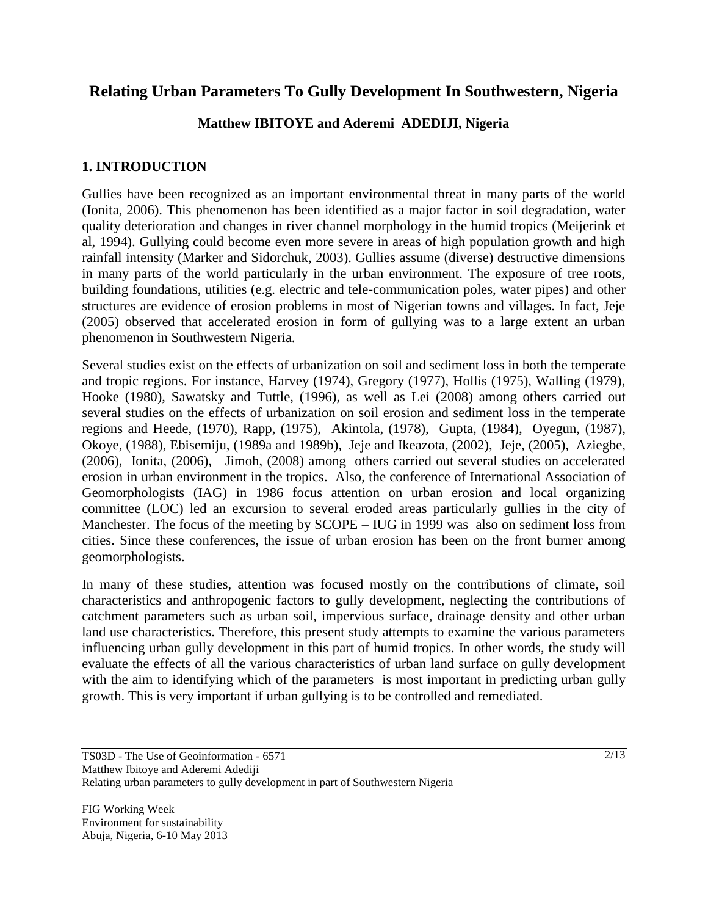## **Relating Urban Parameters To Gully Development In Southwestern, Nigeria**

## **Matthew IBITOYE and Aderemi ADEDIJI, Nigeria**

## **1. INTRODUCTION**

Gullies have been recognized as an important environmental threat in many parts of the world (Ionita, 2006). This phenomenon has been identified as a major factor in soil degradation, water quality deterioration and changes in river channel morphology in the humid tropics (Meijerink et al, 1994). Gullying could become even more severe in areas of high population growth and high rainfall intensity (Marker and Sidorchuk, 2003). Gullies assume (diverse) destructive dimensions in many parts of the world particularly in the urban environment. The exposure of tree roots, building foundations, utilities (e.g. electric and tele-communication poles, water pipes) and other structures are evidence of erosion problems in most of Nigerian towns and villages. In fact, Jeje (2005) observed that accelerated erosion in form of gullying was to a large extent an urban phenomenon in Southwestern Nigeria.

Several studies exist on the effects of urbanization on soil and sediment loss in both the temperate and tropic regions. For instance, Harvey (1974), Gregory (1977), Hollis (1975), Walling (1979), Hooke (1980), Sawatsky and Tuttle, (1996), as well as Lei (2008) among others carried out several studies on the effects of urbanization on soil erosion and sediment loss in the temperate regions and Heede, (1970), Rapp, (1975), Akintola, (1978), Gupta, (1984), Oyegun, (1987), Okoye, (1988), Ebisemiju, (1989a and 1989b), Jeje and Ikeazota, (2002), Jeje, (2005), Aziegbe, (2006), Ionita, (2006), Jimoh, (2008) among others carried out several studies on accelerated erosion in urban environment in the tropics. Also, the conference of International Association of Geomorphologists (IAG) in 1986 focus attention on urban erosion and local organizing committee (LOC) led an excursion to several eroded areas particularly gullies in the city of Manchester. The focus of the meeting by SCOPE – IUG in 1999 was also on sediment loss from cities. Since these conferences, the issue of urban erosion has been on the front burner among geomorphologists.

In many of these studies, attention was focused mostly on the contributions of climate, soil characteristics and anthropogenic factors to gully development, neglecting the contributions of catchment parameters such as urban soil, impervious surface, drainage density and other urban land use characteristics. Therefore, this present study attempts to examine the various parameters influencing urban gully development in this part of humid tropics. In other words, the study will evaluate the effects of all the various characteristics of urban land surface on gully development with the aim to identifying which of the parameters is most important in predicting urban gully growth. This is very important if urban gullying is to be controlled and remediated.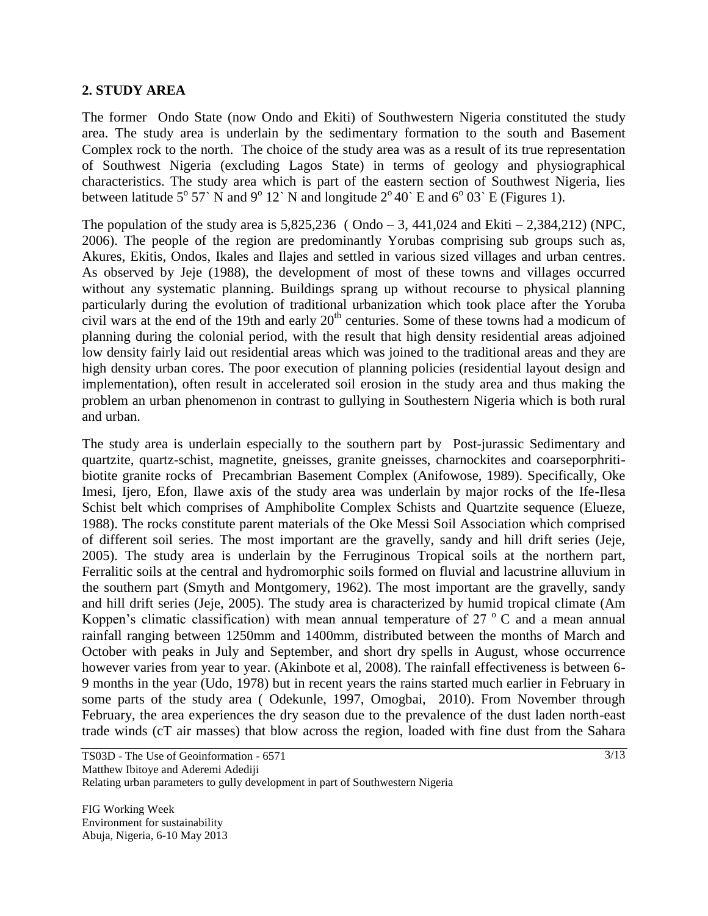### **2. STUDY AREA**

The former Ondo State (now Ondo and Ekiti) of Southwestern Nigeria constituted the study area. The study area is underlain by the sedimentary formation to the south and Basement Complex rock to the north. The choice of the study area was as a result of its true representation of Southwest Nigeria (excluding Lagos State) in terms of geology and physiographical characteristics. The study area which is part of the eastern section of Southwest Nigeria, lies between latitude  $5^{\circ}$  57` N and  $9^{\circ}$  12` N and longitude  $2^{\circ}$  40` E and  $6^{\circ}$  03` E (Figures 1).

The population of the study area is  $5,825,236$  (Ondo  $-3,441,024$  and Ekiti  $-2,384,212$ ) (NPC, 2006). The people of the region are predominantly Yorubas comprising sub groups such as, Akures, Ekitis, Ondos, Ikales and Ilajes and settled in various sized villages and urban centres. As observed by Jeje (1988), the development of most of these towns and villages occurred without any systematic planning. Buildings sprang up without recourse to physical planning particularly during the evolution of traditional urbanization which took place after the Yoruba civil wars at the end of the 19th and early  $20<sup>th</sup>$  centuries. Some of these towns had a modicum of planning during the colonial period, with the result that high density residential areas adjoined low density fairly laid out residential areas which was joined to the traditional areas and they are high density urban cores. The poor execution of planning policies (residential layout design and implementation), often result in accelerated soil erosion in the study area and thus making the problem an urban phenomenon in contrast to gullying in Southestern Nigeria which is both rural and urban.

The study area is underlain especially to the southern part by Post-jurassic Sedimentary and quartzite, quartz-schist, magnetite, gneisses, granite gneisses, charnockites and coarseporphritibiotite granite rocks of Precambrian Basement Complex (Anifowose, 1989). Specifically, Oke Imesi, Ijero, Efon, Ilawe axis of the study area was underlain by major rocks of the Ife-Ilesa Schist belt which comprises of Amphibolite Complex Schists and Quartzite sequence (Elueze, 1988). The rocks constitute parent materials of the Oke Messi Soil Association which comprised of different soil series. The most important are the gravelly, sandy and hill drift series (Jeje, 2005). The study area is underlain by the Ferruginous Tropical soils at the northern part, Ferralitic soils at the central and hydromorphic soils formed on fluvial and lacustrine alluvium in the southern part (Smyth and Montgomery, 1962). The most important are the gravelly, sandy and hill drift series (Jeje, 2005). The study area is characterized by humid tropical climate (Am Koppen's climatic classification) with mean annual temperature of  $27^\circ$  C and a mean annual rainfall ranging between 1250mm and 1400mm, distributed between the months of March and October with peaks in July and September, and short dry spells in August, whose occurrence however varies from year to year. (Akinbote et al, 2008). The rainfall effectiveness is between 6- 9 months in the year (Udo, 1978) but in recent years the rains started much earlier in February in some parts of the study area ( Odekunle, 1997, Omogbai, 2010). From November through February, the area experiences the dry season due to the prevalence of the dust laden north-east trade winds (cT air masses) that blow across the region, loaded with fine dust from the Sahara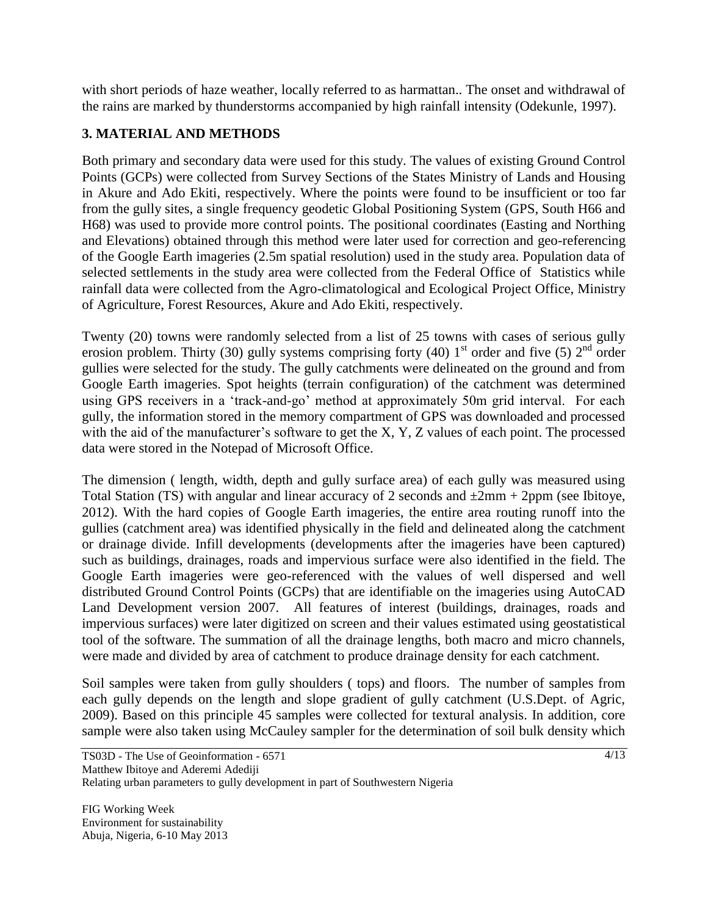with short periods of haze weather, locally referred to as harmattan.. The onset and withdrawal of the rains are marked by thunderstorms accompanied by high rainfall intensity (Odekunle, 1997).

## **3. MATERIAL AND METHODS**

Both primary and secondary data were used for this study. The values of existing Ground Control Points (GCPs) were collected from Survey Sections of the States Ministry of Lands and Housing in Akure and Ado Ekiti, respectively. Where the points were found to be insufficient or too far from the gully sites, a single frequency geodetic Global Positioning System (GPS, South H66 and H68) was used to provide more control points. The positional coordinates (Easting and Northing and Elevations) obtained through this method were later used for correction and geo-referencing of the Google Earth imageries (2.5m spatial resolution) used in the study area. Population data of selected settlements in the study area were collected from the Federal Office of Statistics while rainfall data were collected from the Agro-climatological and Ecological Project Office, Ministry of Agriculture, Forest Resources, Akure and Ado Ekiti, respectively.

Twenty (20) towns were randomly selected from a list of 25 towns with cases of serious gully erosion problem. Thirty (30) gully systems comprising forty (40)  $1<sup>st</sup>$  order and five (5)  $2<sup>nd</sup>$  order gullies were selected for the study. The gully catchments were delineated on the ground and from Google Earth imageries. Spot heights (terrain configuration) of the catchment was determined using GPS receivers in a 'track-and-go' method at approximately 50m grid interval. For each gully, the information stored in the memory compartment of GPS was downloaded and processed with the aid of the manufacturer's software to get the X, Y, Z values of each point. The processed data were stored in the Notepad of Microsoft Office.

The dimension ( length, width, depth and gully surface area) of each gully was measured using Total Station (TS) with angular and linear accuracy of 2 seconds and  $\pm 2$ mm + 2ppm (see Ibitoye, 2012). With the hard copies of Google Earth imageries, the entire area routing runoff into the gullies (catchment area) was identified physically in the field and delineated along the catchment or drainage divide. Infill developments (developments after the imageries have been captured) such as buildings, drainages, roads and impervious surface were also identified in the field. The Google Earth imageries were geo-referenced with the values of well dispersed and well distributed Ground Control Points (GCPs) that are identifiable on the imageries using AutoCAD Land Development version 2007. All features of interest (buildings, drainages, roads and impervious surfaces) were later digitized on screen and their values estimated using geostatistical tool of the software. The summation of all the drainage lengths, both macro and micro channels, were made and divided by area of catchment to produce drainage density for each catchment.

Soil samples were taken from gully shoulders ( tops) and floors. The number of samples from each gully depends on the length and slope gradient of gully catchment (U.S.Dept. of Agric, 2009). Based on this principle 45 samples were collected for textural analysis. In addition, core sample were also taken using McCauley sampler for the determination of soil bulk density which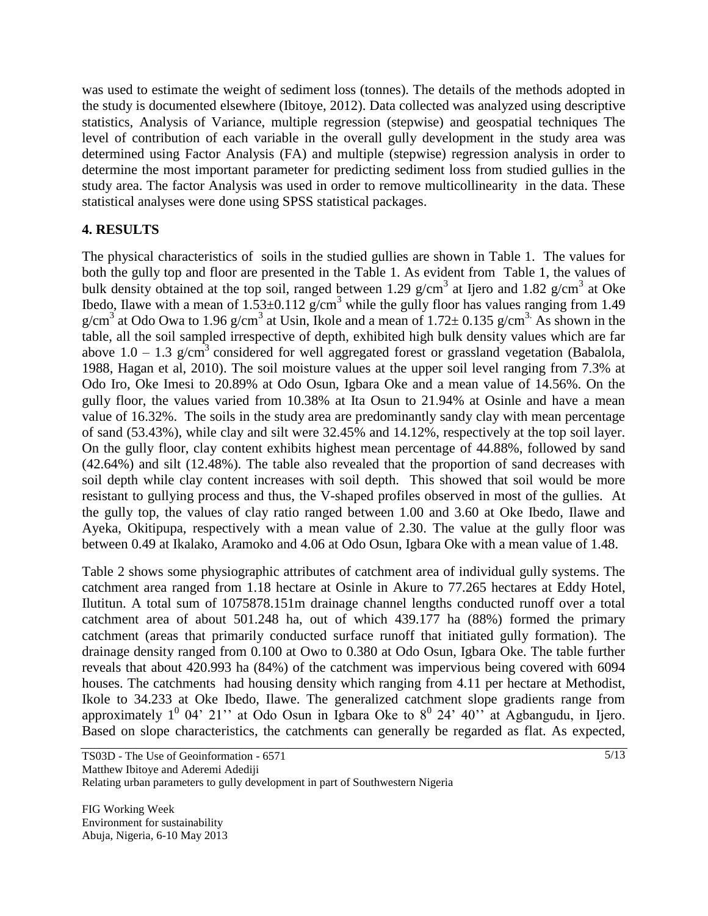was used to estimate the weight of sediment loss (tonnes). The details of the methods adopted in the study is documented elsewhere (Ibitoye, 2012). Data collected was analyzed using descriptive statistics, Analysis of Variance, multiple regression (stepwise) and geospatial techniques The level of contribution of each variable in the overall gully development in the study area was determined using Factor Analysis (FA) and multiple (stepwise) regression analysis in order to determine the most important parameter for predicting sediment loss from studied gullies in the study area. The factor Analysis was used in order to remove multicollinearity in the data. These statistical analyses were done using SPSS statistical packages.

## **4. RESULTS**

The physical characteristics of soils in the studied gullies are shown in Table 1. The values for both the gully top and floor are presented in the Table 1. As evident from Table 1, the values of bulk density obtained at the top soil, ranged between 1.29  $g/cm<sup>3</sup>$  at Ijero and 1.82  $g/cm<sup>3</sup>$  at Oke Ibedo, Ilawe with a mean of  $1.53\pm0.112$  g/cm<sup>3</sup> while the gully floor has values ranging from 1.49 g/cm<sup>3</sup> at Odo Owa to 1.96 g/cm<sup>3</sup> at Usin, Ikole and a mean of 1.72 $\pm$  0.135 g/cm<sup>3.</sup> As shown in the table, all the soil sampled irrespective of depth, exhibited high bulk density values which are far above  $1.0 - 1.3$  g/cm<sup>3</sup> considered for well aggregated forest or grassland vegetation (Babalola, 1988, Hagan et al, 2010). The soil moisture values at the upper soil level ranging from 7.3% at Odo Iro, Oke Imesi to 20.89% at Odo Osun, Igbara Oke and a mean value of 14.56%. On the gully floor, the values varied from 10.38% at Ita Osun to 21.94% at Osinle and have a mean value of 16.32%. The soils in the study area are predominantly sandy clay with mean percentage of sand (53.43%), while clay and silt were 32.45% and 14.12%, respectively at the top soil layer. On the gully floor, clay content exhibits highest mean percentage of 44.88%, followed by sand (42.64%) and silt (12.48%). The table also revealed that the proportion of sand decreases with soil depth while clay content increases with soil depth. This showed that soil would be more resistant to gullying process and thus, the V-shaped profiles observed in most of the gullies. At the gully top, the values of clay ratio ranged between 1.00 and 3.60 at Oke Ibedo, Ilawe and Ayeka, Okitipupa, respectively with a mean value of 2.30. The value at the gully floor was between 0.49 at Ikalako, Aramoko and 4.06 at Odo Osun, Igbara Oke with a mean value of 1.48.

Table 2 shows some physiographic attributes of catchment area of individual gully systems. The catchment area ranged from 1.18 hectare at Osinle in Akure to 77.265 hectares at Eddy Hotel, Ilutitun. A total sum of 1075878.151m drainage channel lengths conducted runoff over a total catchment area of about 501.248 ha, out of which 439.177 ha (88%) formed the primary catchment (areas that primarily conducted surface runoff that initiated gully formation). The drainage density ranged from 0.100 at Owo to 0.380 at Odo Osun, Igbara Oke. The table further reveals that about 420.993 ha (84%) of the catchment was impervious being covered with 6094 houses. The catchments had housing density which ranging from 4.11 per hectare at Methodist, Ikole to 34.233 at Oke Ibedo, Ilawe. The generalized catchment slope gradients range from approximately  $1^0$  04' 21'' at Odo Osun in Igbara Oke to  $8^0$  24' 40'' at Agbangudu, in Ijero. Based on slope characteristics, the catchments can generally be regarded as flat. As expected,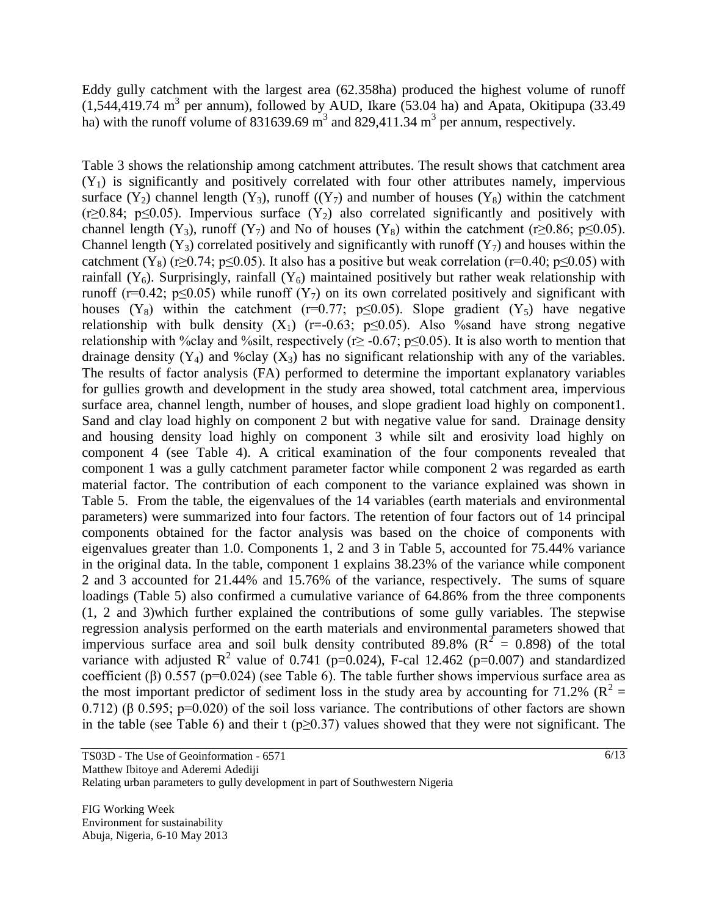Eddy gully catchment with the largest area (62.358ha) produced the highest volume of runoff  $(1,544,419.74 \text{ m}^3 \text{ per annum})$ , followed by AUD, Ikare (53.04 ha) and Apata, Okitipupa (33.49 ha) with the runoff volume of 831639.69  $\text{m}^3$  and 829,411.34  $\text{m}^3$  per annum, respectively.

Table 3 shows the relationship among catchment attributes. The result shows that catchment area  $(Y_1)$  is significantly and positively correlated with four other attributes namely, impervious surface  $(Y_2)$  channel length  $(Y_3)$ , runoff  $((Y_7)$  and number of houses  $(Y_8)$  within the catchment (r≥0.84; p≤0.05). Impervious surface (Y<sub>2</sub>) also correlated significantly and positively with channel length (Y<sub>3</sub>), runoff (Y<sub>7</sub>) and No of houses (Y<sub>8</sub>) within the catchment (r≥0.86; p≤0.05). Channel length  $(Y_3)$  correlated positively and significantly with runoff  $(Y_7)$  and houses within the catchment (Y<sub>8</sub>) (r≥0.74; p≤0.05). It also has a positive but weak correlation (r=0.40; p≤0.05) with rainfall  $(Y_6)$ . Surprisingly, rainfall  $(Y_6)$  maintained positively but rather weak relationship with runoff (r=0.42; p $\leq$ 0.05) while runoff (Y<sub>7</sub>) on its own correlated positively and significant with houses (Y<sub>8</sub>) within the catchment (r=0.77; p $\leq$ 0.05). Slope gradient (Y<sub>5</sub>) have negative relationship with bulk density  $(X_1)$  (r=-0.63; p $\leq$ 0.05). Also %sand have strong negative relationship with %clay and %silt, respectively ( $r \ge -0.67$ ; p $\le 0.05$ ). It is also worth to mention that drainage density  $(Y_4)$  and %clay  $(X_3)$  has no significant relationship with any of the variables. The results of factor analysis (FA) performed to determine the important explanatory variables for gullies growth and development in the study area showed, total catchment area, impervious surface area, channel length, number of houses, and slope gradient load highly on component1. Sand and clay load highly on component 2 but with negative value for sand. Drainage density and housing density load highly on component 3 while silt and erosivity load highly on component 4 (see Table 4). A critical examination of the four components revealed that component 1 was a gully catchment parameter factor while component 2 was regarded as earth material factor. The contribution of each component to the variance explained was shown in Table 5. From the table, the eigenvalues of the 14 variables (earth materials and environmental parameters) were summarized into four factors. The retention of four factors out of 14 principal components obtained for the factor analysis was based on the choice of components with eigenvalues greater than 1.0. Components 1, 2 and 3 in Table 5, accounted for 75.44% variance in the original data. In the table, component 1 explains 38.23% of the variance while component 2 and 3 accounted for 21.44% and 15.76% of the variance, respectively. The sums of square loadings (Table 5) also confirmed a cumulative variance of 64.86% from the three components (1, 2 and 3)which further explained the contributions of some gully variables. The stepwise regression analysis performed on the earth materials and environmental parameters showed that impervious surface area and soil bulk density contributed 89.8% ( $R^2 = 0.898$ ) of the total variance with adjusted  $R^2$  value of 0.741 (p=0.024), F-cal 12.462 (p=0.007) and standardized coefficient (β) 0.557 (p=0.024) (see Table 6). The table further shows impervious surface area as the most important predictor of sediment loss in the study area by accounting for 71.2% ( $\mathbb{R}^2$  = 0.712) (β 0.595; p=0.020) of the soil loss variance. The contributions of other factors are shown in the table (see Table 6) and their t ( $p\geq 0.37$ ) values showed that they were not significant. The

Matthew Ibitoye and Aderemi Adediji

Relating urban parameters to gully development in part of Southwestern Nigeria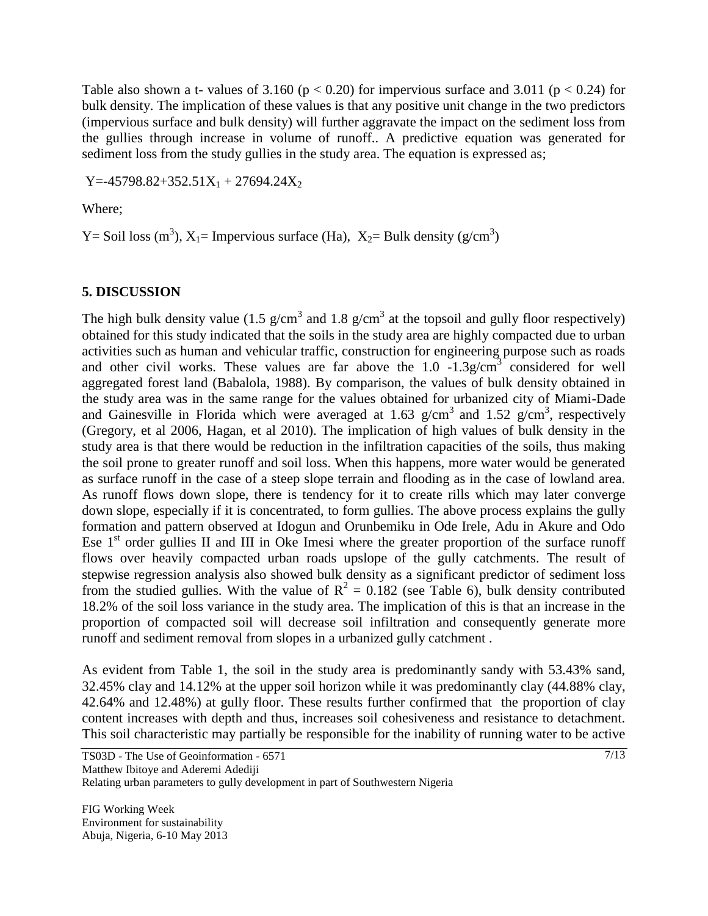Table also shown a t- values of 3.160 ( $p < 0.20$ ) for impervious surface and 3.011 ( $p < 0.24$ ) for bulk density. The implication of these values is that any positive unit change in the two predictors (impervious surface and bulk density) will further aggravate the impact on the sediment loss from the gullies through increase in volume of runoff.. A predictive equation was generated for sediment loss from the study gullies in the study area. The equation is expressed as;

 $Y = -45798.82 + 352.51X_1 + 27694.24X_2$ 

Where;

Y = Soil loss (m<sup>3</sup>), X<sub>1</sub> = Impervious surface (Ha), X<sub>2</sub> = Bulk density (g/cm<sup>3</sup>)

## **5. DISCUSSION**

The high bulk density value (1.5  $g/cm<sup>3</sup>$  and 1.8  $g/cm<sup>3</sup>$  at the topsoil and gully floor respectively) obtained for this study indicated that the soils in the study area are highly compacted due to urban activities such as human and vehicular traffic, construction for engineering purpose such as roads and other civil works. These values are far above the  $1.0 -1.3$  g/cm<sup>3</sup> considered for well aggregated forest land (Babalola, 1988). By comparison, the values of bulk density obtained in the study area was in the same range for the values obtained for urbanized city of Miami-Dade and Gainesville in Florida which were averaged at 1.63  $g/cm<sup>3</sup>$  and 1.52  $g/cm<sup>3</sup>$ , respectively (Gregory, et al 2006, Hagan, et al 2010). The implication of high values of bulk density in the study area is that there would be reduction in the infiltration capacities of the soils, thus making the soil prone to greater runoff and soil loss. When this happens, more water would be generated as surface runoff in the case of a steep slope terrain and flooding as in the case of lowland area. As runoff flows down slope, there is tendency for it to create rills which may later converge down slope, especially if it is concentrated, to form gullies. The above process explains the gully formation and pattern observed at Idogun and Orunbemiku in Ode Irele, Adu in Akure and Odo Ese  $1<sup>st</sup>$  order gullies II and III in Oke Imesi where the greater proportion of the surface runoff flows over heavily compacted urban roads upslope of the gully catchments. The result of stepwise regression analysis also showed bulk density as a significant predictor of sediment loss from the studied gullies. With the value of  $R^2 = 0.182$  (see Table 6), bulk density contributed 18.2% of the soil loss variance in the study area. The implication of this is that an increase in the proportion of compacted soil will decrease soil infiltration and consequently generate more runoff and sediment removal from slopes in a urbanized gully catchment .

As evident from Table 1, the soil in the study area is predominantly sandy with 53.43% sand, 32.45% clay and 14.12% at the upper soil horizon while it was predominantly clay (44.88% clay, 42.64% and 12.48%) at gully floor. These results further confirmed that the proportion of clay content increases with depth and thus, increases soil cohesiveness and resistance to detachment. This soil characteristic may partially be responsible for the inability of running water to be active

TS03D - The Use of Geoinformation - 6571 Matthew Ibitoye and Aderemi Adediji Relating urban parameters to gully development in part of Southwestern Nigeria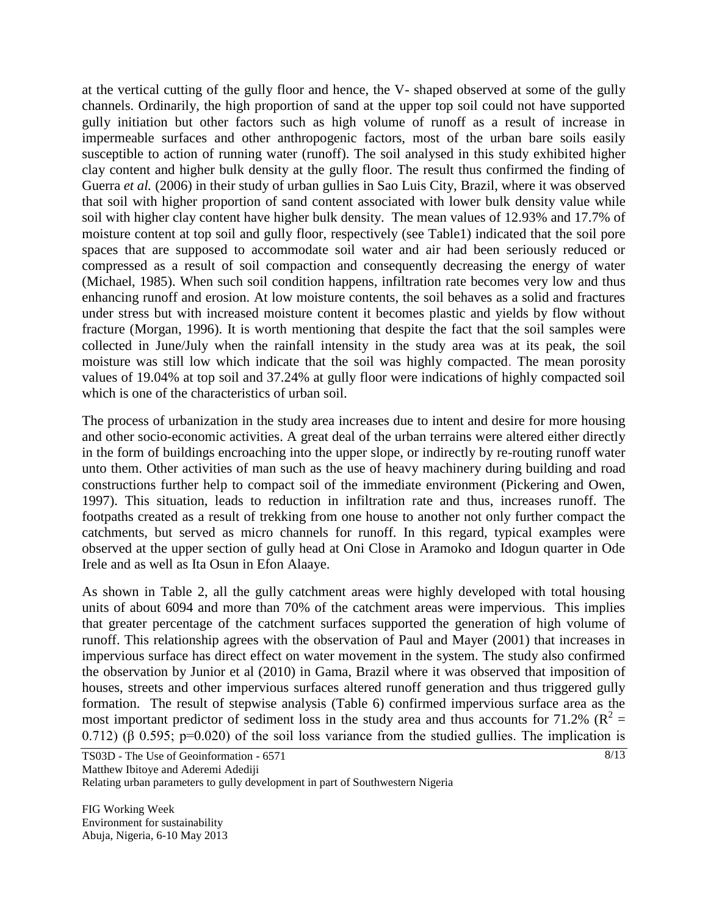at the vertical cutting of the gully floor and hence, the V- shaped observed at some of the gully channels. Ordinarily, the high proportion of sand at the upper top soil could not have supported gully initiation but other factors such as high volume of runoff as a result of increase in impermeable surfaces and other anthropogenic factors, most of the urban bare soils easily susceptible to action of running water (runoff). The soil analysed in this study exhibited higher clay content and higher bulk density at the gully floor. The result thus confirmed the finding of Guerra *et al.* (2006) in their study of urban gullies in Sao Luis City, Brazil, where it was observed that soil with higher proportion of sand content associated with lower bulk density value while soil with higher clay content have higher bulk density. The mean values of 12.93% and 17.7% of moisture content at top soil and gully floor, respectively (see Table1) indicated that the soil pore spaces that are supposed to accommodate soil water and air had been seriously reduced or compressed as a result of soil compaction and consequently decreasing the energy of water (Michael, 1985). When such soil condition happens, infiltration rate becomes very low and thus enhancing runoff and erosion. At low moisture contents, the soil behaves as a solid and fractures under stress but with increased moisture content it becomes plastic and yields by flow without fracture (Morgan, 1996). It is worth mentioning that despite the fact that the soil samples were collected in June/July when the rainfall intensity in the study area was at its peak, the soil moisture was still low which indicate that the soil was highly compacted. The mean porosity values of 19.04% at top soil and 37.24% at gully floor were indications of highly compacted soil which is one of the characteristics of urban soil.

The process of urbanization in the study area increases due to intent and desire for more housing and other socio-economic activities. A great deal of the urban terrains were altered either directly in the form of buildings encroaching into the upper slope, or indirectly by re-routing runoff water unto them. Other activities of man such as the use of heavy machinery during building and road constructions further help to compact soil of the immediate environment (Pickering and Owen, 1997). This situation, leads to reduction in infiltration rate and thus, increases runoff. The footpaths created as a result of trekking from one house to another not only further compact the catchments, but served as micro channels for runoff. In this regard, typical examples were observed at the upper section of gully head at Oni Close in Aramoko and Idogun quarter in Ode Irele and as well as Ita Osun in Efon Alaaye.

As shown in Table 2, all the gully catchment areas were highly developed with total housing units of about 6094 and more than 70% of the catchment areas were impervious. This implies that greater percentage of the catchment surfaces supported the generation of high volume of runoff. This relationship agrees with the observation of Paul and Mayer (2001) that increases in impervious surface has direct effect on water movement in the system. The study also confirmed the observation by Junior et al (2010) in Gama, Brazil where it was observed that imposition of houses, streets and other impervious surfaces altered runoff generation and thus triggered gully formation. The result of stepwise analysis (Table 6) confirmed impervious surface area as the most important predictor of sediment loss in the study area and thus accounts for 71.2% ( $R^2$  = 0.712) ( $\beta$  0.595; p=0.020) of the soil loss variance from the studied gullies. The implication is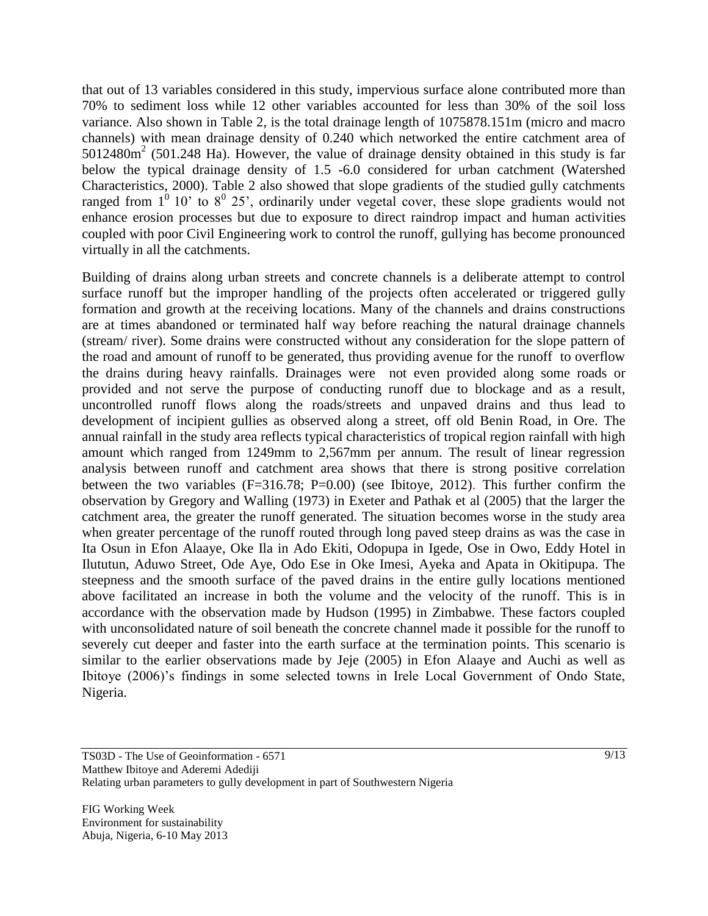that out of 13 variables considered in this study, impervious surface alone contributed more than 70% to sediment loss while 12 other variables accounted for less than 30% of the soil loss variance. Also shown in Table 2, is the total drainage length of 1075878.151m (micro and macro channels) with mean drainage density of 0.240 which networked the entire catchment area of  $5012480m<sup>2</sup>$  (501.248 Ha). However, the value of drainage density obtained in this study is far below the typical drainage density of 1.5 -6.0 considered for urban catchment (Watershed Characteristics, 2000). Table 2 also showed that slope gradients of the studied gully catchments ranged from  $1^0$  10' to  $8^0$  25', ordinarily under vegetal cover, these slope gradients would not enhance erosion processes but due to exposure to direct raindrop impact and human activities coupled with poor Civil Engineering work to control the runoff, gullying has become pronounced virtually in all the catchments.

Building of drains along urban streets and concrete channels is a deliberate attempt to control surface runoff but the improper handling of the projects often accelerated or triggered gully formation and growth at the receiving locations. Many of the channels and drains constructions are at times abandoned or terminated half way before reaching the natural drainage channels (stream/ river). Some drains were constructed without any consideration for the slope pattern of the road and amount of runoff to be generated, thus providing avenue for the runoff to overflow the drains during heavy rainfalls. Drainages were not even provided along some roads or provided and not serve the purpose of conducting runoff due to blockage and as a result, uncontrolled runoff flows along the roads/streets and unpaved drains and thus lead to development of incipient gullies as observed along a street, off old Benin Road, in Ore. The annual rainfall in the study area reflects typical characteristics of tropical region rainfall with high amount which ranged from 1249mm to 2,567mm per annum. The result of linear regression analysis between runoff and catchment area shows that there is strong positive correlation between the two variables  $(F=316.78; P=0.00)$  (see Ibitoye, 2012). This further confirm the observation by Gregory and Walling (1973) in Exeter and Pathak et al (2005) that the larger the catchment area, the greater the runoff generated. The situation becomes worse in the study area when greater percentage of the runoff routed through long paved steep drains as was the case in Ita Osun in Efon Alaaye, Oke Ila in Ado Ekiti, Odopupa in Igede, Ose in Owo, Eddy Hotel in Ilututun, Aduwo Street, Ode Aye, Odo Ese in Oke Imesi, Ayeka and Apata in Okitipupa. The steepness and the smooth surface of the paved drains in the entire gully locations mentioned above facilitated an increase in both the volume and the velocity of the runoff. This is in accordance with the observation made by Hudson (1995) in Zimbabwe. These factors coupled with unconsolidated nature of soil beneath the concrete channel made it possible for the runoff to severely cut deeper and faster into the earth surface at the termination points. This scenario is similar to the earlier observations made by Jeje (2005) in Efon Alaaye and Auchi as well as Ibitoye (2006)'s findings in some selected towns in Irele Local Government of Ondo State, Nigeria.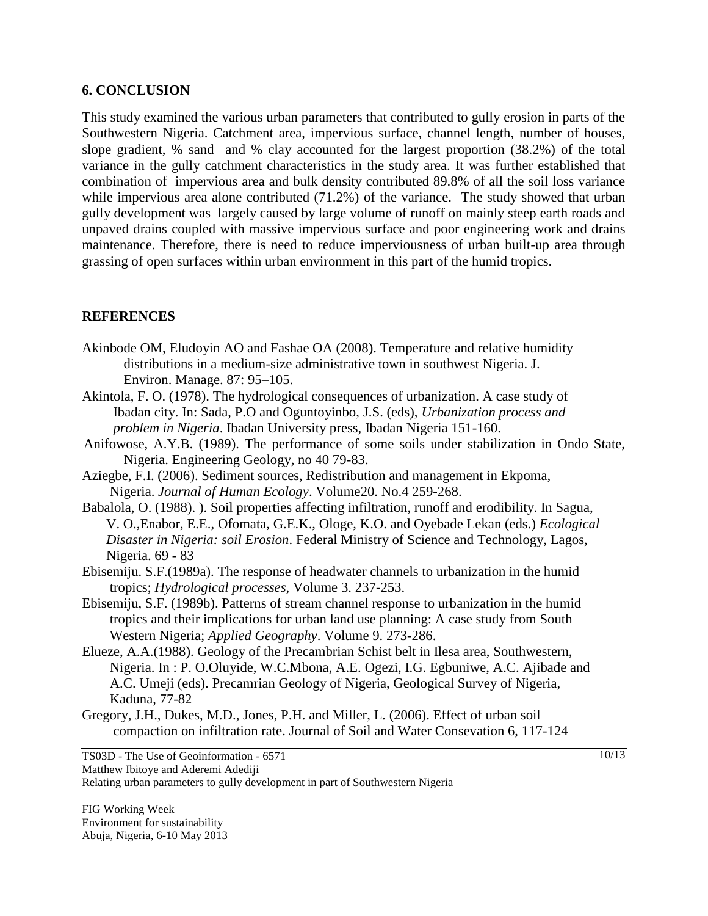#### **6. CONCLUSION**

This study examined the various urban parameters that contributed to gully erosion in parts of the Southwestern Nigeria. Catchment area, impervious surface, channel length, number of houses, slope gradient, % sand and % clay accounted for the largest proportion (38.2%) of the total variance in the gully catchment characteristics in the study area. It was further established that combination of impervious area and bulk density contributed 89.8% of all the soil loss variance while impervious area alone contributed (71.2%) of the variance. The study showed that urban gully development was largely caused by large volume of runoff on mainly steep earth roads and unpaved drains coupled with massive impervious surface and poor engineering work and drains maintenance. Therefore, there is need to reduce imperviousness of urban built-up area through grassing of open surfaces within urban environment in this part of the humid tropics.

#### **REFERENCES**

- Akinbode OM, Eludoyin AO and Fashae OA (2008). Temperature and relative humidity distributions in a medium-size administrative town in southwest Nigeria. J. Environ. Manage. 87: 95–105.
- Akintola, F. O. (1978). The hydrological consequences of urbanization. A case study of Ibadan city. In: Sada, P.O and Oguntoyinbo, J.S. (eds), *Urbanization process and problem in Nigeria*. Ibadan University press, Ibadan Nigeria 151-160.
- Anifowose, A.Y.B. (1989). The performance of some soils under stabilization in Ondo State, Nigeria. Engineering Geology, no 40 79-83.
- Aziegbe, F.I. (2006). Sediment sources, Redistribution and management in Ekpoma, Nigeria. *Journal of Human Ecology*. Volume20. No.4 259-268.
- Babalola, O. (1988). ). Soil properties affecting infiltration, runoff and erodibility. In Sagua, V. O.,Enabor, E.E., Ofomata, G.E.K., Ologe, K.O. and Oyebade Lekan (eds.) *Ecological Disaster in Nigeria: soil Erosion*. Federal Ministry of Science and Technology, Lagos, Nigeria. 69 - 83
- Ebisemiju. S.F.(1989a). The response of headwater channels to urbanization in the humid tropics; *Hydrological processes,* Volume 3. 237-253.
- Ebisemiju, S.F. (1989b). Patterns of stream channel response to urbanization in the humid tropics and their implications for urban land use planning: A case study from South Western Nigeria; *Applied Geography*. Volume 9. 273-286.
- Elueze, A.A.(1988). Geology of the Precambrian Schist belt in Ilesa area, Southwestern, Nigeria. In : P. O.Oluyide, W.C.Mbona, A.E. Ogezi, I.G. Egbuniwe, A.C. Ajibade and A.C. Umeji (eds). Precamrian Geology of Nigeria, Geological Survey of Nigeria, Kaduna, 77-82
- Gregory, J.H., Dukes, M.D., Jones, P.H. and Miller, L. (2006). Effect of urban soil compaction on infiltration rate. Journal of Soil and Water Consevation 6, 117-124

TS03D - The Use of Geoinformation - 6571 Matthew Ibitoye and Aderemi Adediji Relating urban parameters to gully development in part of Southwestern Nigeria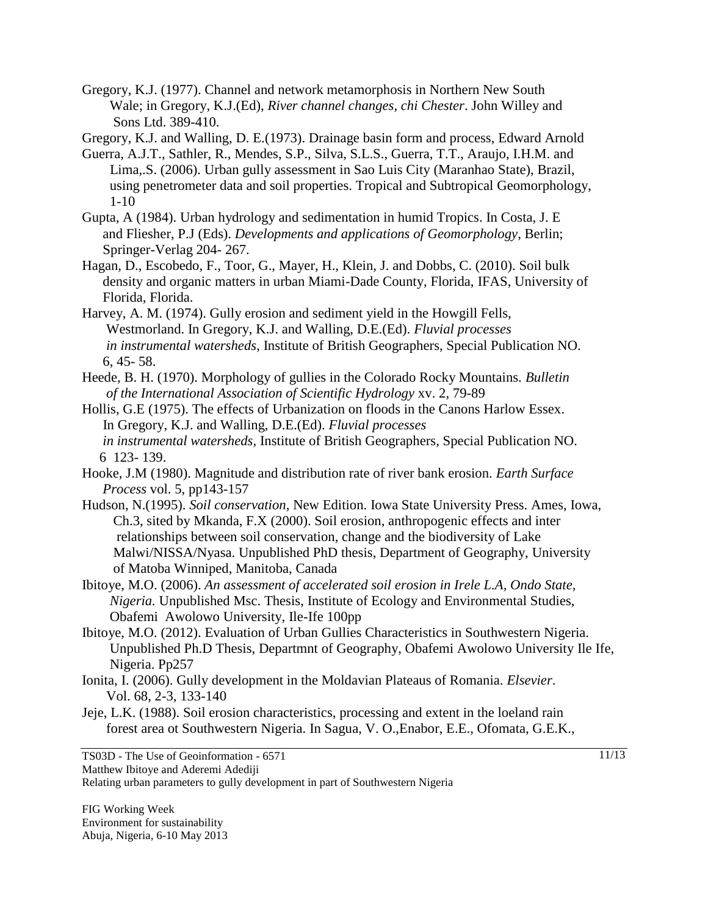Gregory, K.J. (1977). Channel and network metamorphosis in Northern New South Wale; in Gregory, K.J.(Ed), *River channel changes, chi Chester*. John Willey and Sons Ltd. 389-410.

Gregory, K.J. and Walling, D. E.(1973). Drainage basin form and process, Edward Arnold

- Guerra, A.J.T., Sathler, R., Mendes, S.P., Silva, S.L.S., Guerra, T.T., Araujo, I.H.M. and Lima,.S. (2006). Urban gully assessment in Sao Luis City (Maranhao State), Brazil, using penetrometer data and soil properties. Tropical and Subtropical Geomorphology, 1-10
- Gupta, A (1984). Urban hydrology and sedimentation in humid Tropics. In Costa, J. E and Fliesher, P.J (Eds). *Developments and applications of Geomorphology*, Berlin; Springer-Verlag 204- 267.

Hagan, D., Escobedo, F., Toor, G., Mayer, H., Klein, J. and Dobbs, C. (2010). Soil bulk density and organic matters in urban Miami-Dade County, Florida, IFAS, University of Florida, Florida.

- Harvey, A. M. (1974). Gully erosion and sediment yield in the Howgill Fells, Westmorland. In Gregory, K.J. and Walling, D.E.(Ed). *Fluvial processes in instrumental watersheds*, Institute of British Geographers, Special Publication NO. 6, 45- 58.
- Heede, B. H. (1970). Morphology of gullies in the Colorado Rocky Mountains. *Bulletin of the International Association of Scientific Hydrology* xv. 2, 79-89
- Hollis, G.E (1975). The effects of Urbanization on floods in the Canons Harlow Essex. In Gregory, K.J. and Walling, D.E.(Ed). *Fluvial processes in instrumental watersheds*, Institute of British Geographers, Special Publication NO. 6 123- 139.
- Hooke, J.M (1980). Magnitude and distribution rate of river bank erosion. *Earth Surface Process* vol. 5, pp143-157
- Hudson, N.(1995). *Soil conservation,* New Edition. Iowa State University Press. Ames, Iowa, Ch.3, sited by Mkanda, F.X (2000). Soil erosion, anthropogenic effects and inter relationships between soil conservation, change and the biodiversity of Lake Malwi/NISSA/Nyasa. Unpublished PhD thesis, Department of Geography, University of Matoba Winniped, Manitoba, Canada
- Ibitoye, M.O. (2006). *An assessment of accelerated soil erosion in Irele L.A, Ondo State, Nigeria.* Unpublished Msc. Thesis, Institute of Ecology and Environmental Studies, Obafemi Awolowo University, Ile-Ife 100pp
- Ibitoye, M.O. (2012). Evaluation of Urban Gullies Characteristics in Southwestern Nigeria. Unpublished Ph.D Thesis, Departmnt of Geography, Obafemi Awolowo University Ile Ife, Nigeria. Pp257
- Ionita, I. (2006). Gully development in the Moldavian Plateaus of Romania. *Elsevier*. Vol. 68, 2-3, 133-140
- Jeje, L.K. (1988). Soil erosion characteristics, processing and extent in the loeland rain forest area ot Southwestern Nigeria. In Sagua, V. O.,Enabor, E.E., Ofomata, G.E.K.,

TS03D - The Use of Geoinformation - 6571 Matthew Ibitoye and Aderemi Adediji Relating urban parameters to gully development in part of Southwestern Nigeria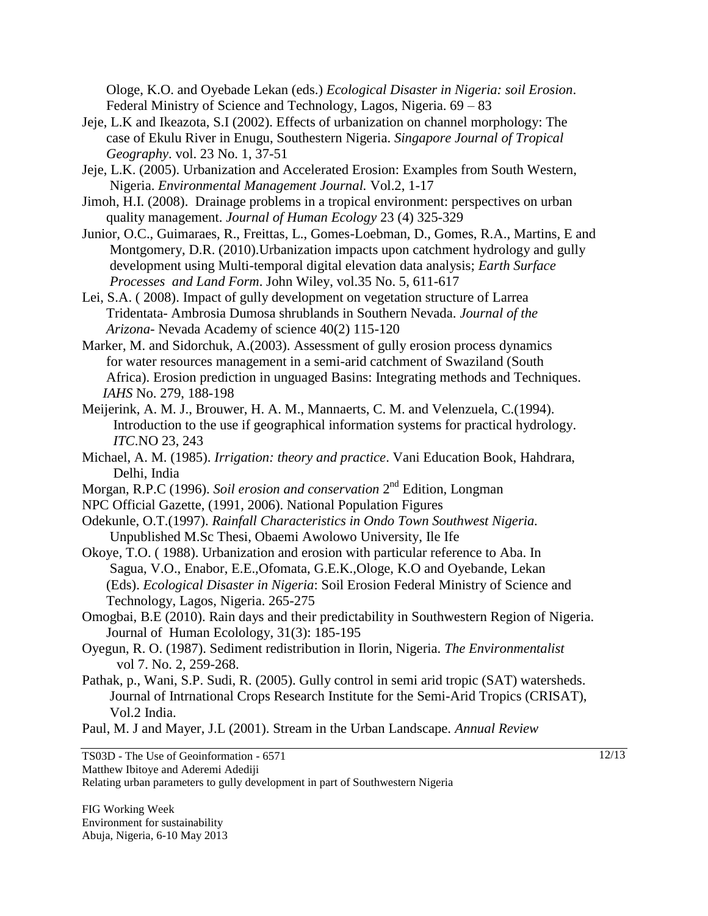Ologe, K.O. and Oyebade Lekan (eds.) *Ecological Disaster in Nigeria: soil Erosion*. Federal Ministry of Science and Technology, Lagos, Nigeria. 69 – 83

- Jeje, L.K and Ikeazota, S.I (2002). Effects of urbanization on channel morphology: The case of Ekulu River in Enugu, Southestern Nigeria. *Singapore Journal of Tropical Geography*. vol. 23 No. 1, 37-51
- Jeje, L.K. (2005). Urbanization and Accelerated Erosion: Examples from South Western, Nigeria. *Environmental Management Journal.* Vol.2, 1-17
- Jimoh, H.I. (2008). Drainage problems in a tropical environment: perspectives on urban quality management. *Journal of Human Ecology* 23 (4) 325-329
- Junior, O.C., Guimaraes, R., Freittas, L., Gomes-Loebman, D., Gomes, R.A., Martins, E and Montgomery, D.R. (2010).Urbanization impacts upon catchment hydrology and gully development using Multi-temporal digital elevation data analysis; *Earth Surface Processes and Land Form*. John Wiley, vol.35 No. 5, 611-617
- Lei, S.A. ( 2008). Impact of gully development on vegetation structure of Larrea Tridentata- Ambrosia Dumosa shrublands in Southern Nevada. *Journal of the Arizona*- Nevada Academy of science 40(2) 115-120
- Marker, M. and Sidorchuk, A.(2003). Assessment of gully erosion process dynamics for water resources management in a semi-arid catchment of Swaziland (South Africa). Erosion prediction in unguaged Basins: Integrating methods and Techniques.  *IAHS* No. 279, 188-198
- Meijerink, A. M. J., Brouwer, H. A. M., Mannaerts, C. M. and Velenzuela, C.(1994). Introduction to the use if geographical information systems for practical hydrology. *ITC*.NO 23, 243
- Michael, A. M. (1985). *Irrigation: theory and practice*. Vani Education Book, Hahdrara, Delhi, India
- Morgan, R.P.C (1996). *Soil erosion and conservation* 2<sup>nd</sup> Edition, Longman
- NPC Official Gazette, (1991, 2006). National Population Figures
- Odekunle, O.T.(1997). *Rainfall Characteristics in Ondo Town Southwest Nigeria.* Unpublished M.Sc Thesi, Obaemi Awolowo University, Ile Ife
- Okoye, T.O. ( 1988). Urbanization and erosion with particular reference to Aba. In Sagua, V.O., Enabor, E.E.,Ofomata, G.E.K.,Ologe, K.O and Oyebande, Lekan (Eds). *Ecological Disaster in Nigeria*: Soil Erosion Federal Ministry of Science and Technology, Lagos, Nigeria. 265-275
- Omogbai, B.E (2010). Rain days and their predictability in Southwestern Region of Nigeria.Journal of Human Ecolology, 31(3): 185-195
- Oyegun, R. O. (1987). Sediment redistribution in Ilorin, Nigeria. *The Environmentalist* vol 7. No. 2, 259-268.
- Pathak, p., Wani, S.P. Sudi, R. (2005). Gully control in semi arid tropic (SAT) watersheds. Journal of Intrnational Crops Research Institute for the Semi-Arid Tropics (CRISAT), Vol.2 India.
- Paul, M. J and Mayer, J.L (2001). Stream in the Urban Landscape. *Annual Review*

TS03D - The Use of Geoinformation - 6571 Matthew Ibitoye and Aderemi Adediji Relating urban parameters to gully development in part of Southwestern Nigeria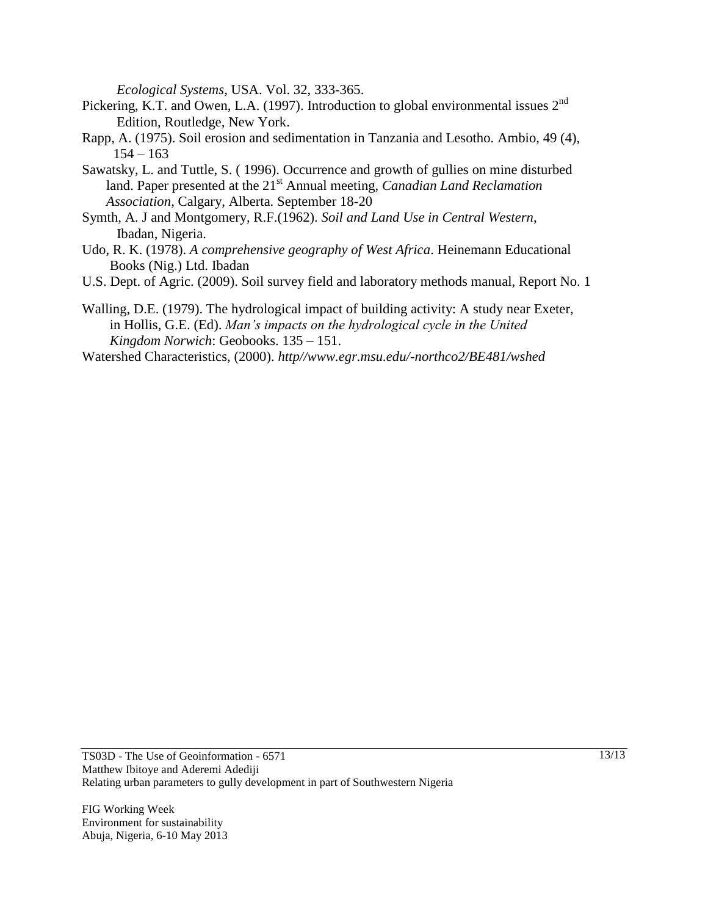*Ecological Systems*, USA. Vol. 32, 333-365.

- Pickering, K.T. and Owen, L.A. (1997). Introduction to global environmental issues 2<sup>nd</sup> Edition, Routledge, New York.
- Rapp, A. (1975). Soil erosion and sedimentation in Tanzania and Lesotho. Ambio, 49 (4),  $154 - 163$
- Sawatsky, L. and Tuttle, S. ( 1996). Occurrence and growth of gullies on mine disturbed land. Paper presented at the 21<sup>st</sup> Annual meeting, *Canadian Land Reclamation Association*, Calgary, Alberta. September 18-20
- Symth, A. J and Montgomery, R.F.(1962). *Soil and Land Use in Central Western*, Ibadan, Nigeria.
- Udo, R. K. (1978). *A comprehensive geography of West Africa*. Heinemann Educational Books (Nig.) Ltd. Ibadan
- U.S. Dept. of Agric. (2009). Soil survey field and laboratory methods manual, Report No. 1
- Walling, D.E. (1979). The hydrological impact of building activity: A study near Exeter, in Hollis, G.E. (Ed). *Man's impacts on the hydrological cycle in the United Kingdom Norwich*: Geobooks. 135 – 151.
- Watershed Characteristics, (2000). *http//www.egr.msu.edu/-northco2/BE481/wshed*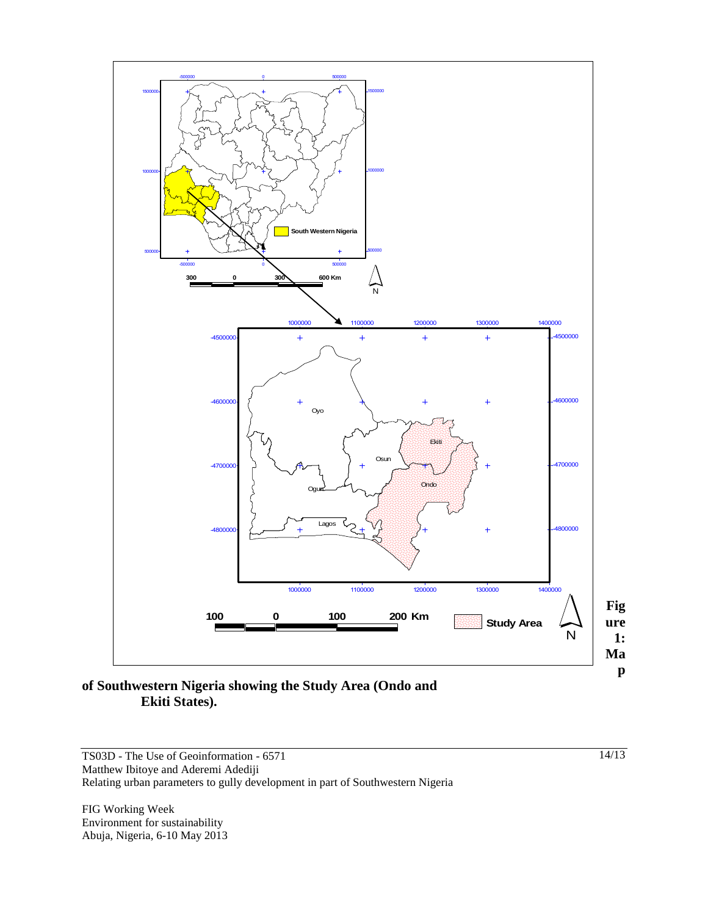

**of Southwestern Nigeria showing the Study Area (Ondo and Ekiti States).**

TS03D - The Use of Geoinformation - 6571 Matthew Ibitoye and Aderemi Adediji Relating urban parameters to gully development in part of Southwestern Nigeria

FIG Working Week Environment for sustainability Abuja, Nigeria, 6-10 May 2013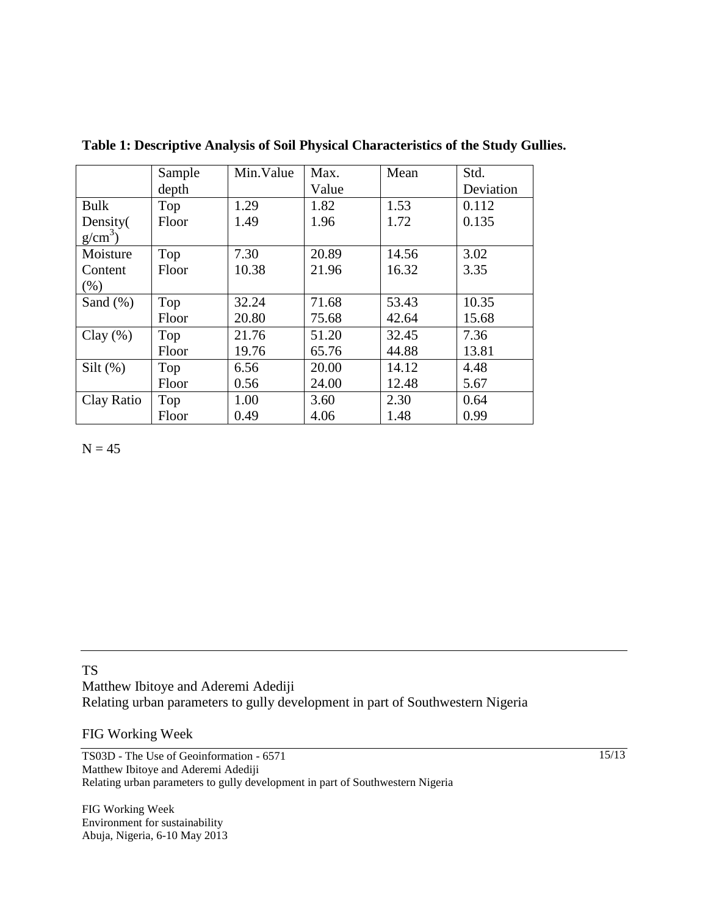|             | Sample | Min. Value | Max.  | Mean  | Std.      |
|-------------|--------|------------|-------|-------|-----------|
|             | depth  |            | Value |       | Deviation |
| Bulk        | Top    | 1.29       | 1.82  | 1.53  | 0.112     |
| Density(    | Floor  | 1.49       | 1.96  | 1.72  | 0.135     |
| $g/cm^3$ )  |        |            |       |       |           |
| Moisture    | Top    | 7.30       | 20.89 | 14.56 | 3.02      |
| Content     | Floor  | 10.38      | 21.96 | 16.32 | 3.35      |
| (% )        |        |            |       |       |           |
| Sand $(\%)$ | Top    | 32.24      | 71.68 | 53.43 | 10.35     |
|             | Floor  | 20.80      | 75.68 | 42.64 | 15.68     |
| Clay(%)     | Top    | 21.76      | 51.20 | 32.45 | 7.36      |
|             | Floor  | 19.76      | 65.76 | 44.88 | 13.81     |
| $Silt$ (%)  | Top    | 6.56       | 20.00 | 14.12 | 4.48      |
|             | Floor  | 0.56       | 24.00 | 12.48 | 5.67      |
| Clay Ratio  | Top    | 1.00       | 3.60  | 2.30  | 0.64      |
|             | Floor  | 0.49       | 4.06  | 1.48  | 0.99      |

**Table 1: Descriptive Analysis of Soil Physical Characteristics of the Study Gullies.**

 $N = 45$ 

## TS

Matthew Ibitoye and Aderemi Adediji Relating urban parameters to gully development in part of Southwestern Nigeria

### FIG Working Week

TS03D - The Use of Geoinformation - 6571 Matthew Ibitoye and Aderemi Adediji Relating urban parameters to gully development in part of Southwestern Nigeria

FIG Working Week Environment for sustainability Abuja, Nigeria, 6-10 May 2013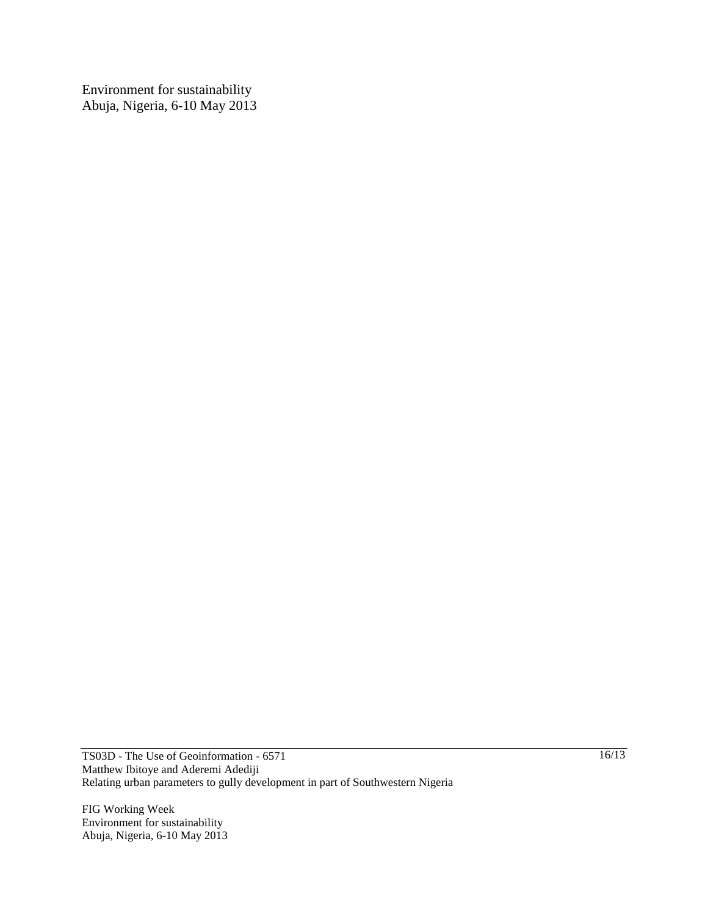Environment for sustainability Abuja, Nigeria, 6-10 May 2013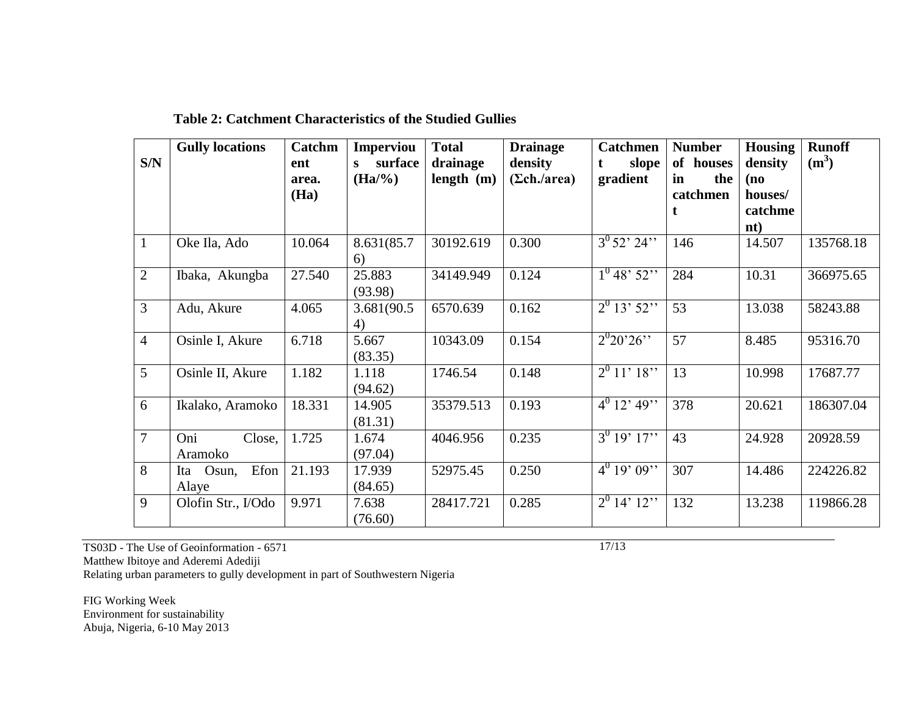| S/N            | <b>Gully locations</b>        | Catchm<br>ent<br>area.<br>(Ha) | <b>Imperviou</b><br>surface<br>$\mathbf{s}$<br>$(Ha/\%)$ | <b>Total</b><br>drainage<br>length $(m)$ | <b>Drainage</b><br>density<br>$(\Sigma$ ch./area) | <b>Catchmen</b><br>slope<br>t<br>gradient | <b>Number</b><br>of houses<br>the<br>in<br>catchmen<br>t | <b>Housing</b><br>density<br>(no)<br>houses/<br>catchme<br>$\bf{nt}$ | <b>Runoff</b><br>(m <sup>3</sup> ) |
|----------------|-------------------------------|--------------------------------|----------------------------------------------------------|------------------------------------------|---------------------------------------------------|-------------------------------------------|----------------------------------------------------------|----------------------------------------------------------------------|------------------------------------|
| $\vert$ 1      | Oke Ila, Ado                  | 10.064                         | 8.631(85.7)<br>6)                                        | 30192.619                                | 0.300                                             | $3^0 52^0 24$                             | 146                                                      | 14.507                                                               | 135768.18                          |
| $\overline{2}$ | Ibaka, Akungba                | 27.540                         | 25.883<br>(93.98)                                        | 34149.949                                | 0.124                                             | $1^0 48' 52''$                            | 284                                                      | 10.31                                                                | 366975.65                          |
| $\overline{3}$ | Adu, Akure                    | 4.065                          | 3.681(90.5)<br>4)                                        | 6570.639                                 | 0.162                                             | $2^0$ 13' 52"                             | 53                                                       | 13.038                                                               | 58243.88                           |
| $\overline{4}$ | Osinle I, Akure               | 6.718                          | 5.667<br>(83.35)                                         | 10343.09                                 | 0.154                                             | $2^{0}20'26''$                            | 57                                                       | 8.485                                                                | 95316.70                           |
| $\overline{5}$ | Osinle II, Akure              | 1.182                          | 1.118<br>(94.62)                                         | 1746.54                                  | 0.148                                             | $\frac{2^{0} 11^{1}}{18}$ 18"             | 13                                                       | 10.998                                                               | 17687.77                           |
| 6              | Ikalako, Aramoko              | 18.331                         | 14.905<br>(81.31)                                        | 35379.513                                | 0.193                                             | $\frac{4^0}{12^2}$ , 49 <sup>3</sup>      | 378                                                      | 20.621                                                               | 186307.04                          |
| $\overline{7}$ | Oni<br>Close,<br>Aramoko      | 1.725                          | 1.674<br>(97.04)                                         | 4046.956                                 | 0.235                                             | $\frac{3^{0} 19^{1}}{17}$                 | 43                                                       | 24.928                                                               | 20928.59                           |
| 8              | Efon<br>Osun,<br>Ita<br>Alaye | 21.193                         | 17.939<br>(84.65)                                        | 52975.45                                 | 0.250                                             | $\frac{1}{4^0}$ 19' 09''                  | 307                                                      | 14.486                                                               | 224226.82                          |
| 9              | Olofin Str., I/Odo            | 9.971                          | 7.638<br>(76.60)                                         | 28417.721                                | 0.285                                             | $\sqrt{2^0 14}$ , 12"                     | 132                                                      | 13.238                                                               | 119866.28                          |

 **Table 2: Catchment Characteristics of the Studied Gullies**

TS03D - The Use of Geoinformation - 6571 Matthew Ibitoye and Aderemi Adediji Relating urban parameters to gully development in part of Southwestern Nigeria

FIG Working Week Environment for sustainability Abuja, Nigeria, 6-10 May 2013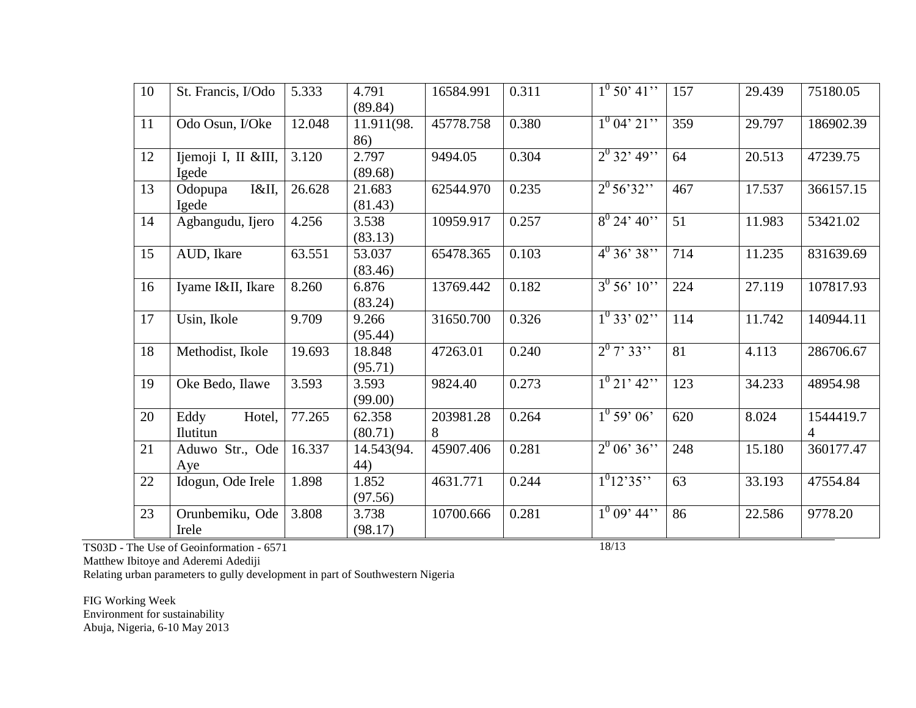| 10 | St. Francis, I/Odo               | 5.333  | 4.791<br>(89.84)  | 16584.991      | 0.311 | $1^0$ 50' 41'' | 157             | 29.439 | 75180.05       |
|----|----------------------------------|--------|-------------------|----------------|-------|----------------|-----------------|--------|----------------|
| 11 | Odo Osun, I/Oke                  | 12.048 | 11.911(98.<br>86) | 45778.758      | 0.380 | $1^0$ 04' 21'' | 359             | 29.797 | 186902.39      |
| 12 | Ijemoji I, II &III,<br>Igede     | 3.120  | 2.797<br>(89.68)  | 9494.05        | 0.304 | $2^0$ 32' 49'' | 64              | 20.513 | 47239.75       |
| 13 | I&II,<br>Odopupa<br>Igede        | 26.628 | 21.683<br>(81.43) | 62544.970      | 0.235 | $2^{0}56'32"$  | 467             | 17.537 | 366157.15      |
| 14 | Agbangudu, Ijero                 | 4.256  | 3.538<br>(83.13)  | 10959.917      | 0.257 | $8^0$ 24' 40"  | $\overline{51}$ | 11.983 | 53421.02       |
| 15 | AUD, Ikare                       | 63.551 | 53.037<br>(83.46) | 65478.365      | 0.103 | $4^0 36' 38''$ | 714             | 11.235 | 831639.69      |
| 16 | Iyame I&II, Ikare                | 8.260  | 6.876<br>(83.24)  | 13769.442      | 0.182 | $3^0 56' 10'$  | 224             | 27.119 | 107817.93      |
| 17 | Usin, Ikole                      | 9.709  | 9.266<br>(95.44)  | 31650.700      | 0.326 | $1^0$ 33' 02"  | 114             | 11.742 | 140944.11      |
| 18 | Methodist, Ikole                 | 19.693 | 18.848<br>(95.71) | 47263.01       | 0.240 | $2^0$ 7' 33"   | 81              | 4.113  | 286706.67      |
| 19 | Oke Bedo, Ilawe                  | 3.593  | 3.593<br>(99.00)  | 9824.40        | 0.273 | $1^0$ 21' 42"  | 123             | 34.233 | 48954.98       |
| 20 | Eddy<br>Hotel,<br>Ilutitun       | 77.265 | 62.358<br>(80.71) | 203981.28<br>8 | 0.264 | $1^0$ 59' 06'  | 620             | 8.024  | 1544419.7<br>4 |
| 21 | Aduwo Str., Ode<br>Aye           | 16.337 | 14.543(94.<br>44) | 45907.406      | 0.281 | $2^0 06' 36''$ | 248             | 15.180 | 360177.47      |
| 22 | Idogun, Ode Irele                | 1.898  | 1.852<br>(97.56)  | 4631.771       | 0.244 | $1^0$ 12'35''  | 63              | 33.193 | 47554.84       |
| 23 | Orunbemiku, Ode<br>Irele         | 3.808  | 3.738<br>(98.17)  | 10700.666      | 0.281 | $1^0$ 09' 44'' | 86              | 22.586 | 9778.20        |
|    | The Use of Geoinformation - 6571 |        |                   |                |       | 18/13          |                 |        |                |

TS03D - The Use of Geoinformation - 6571

Matthew Ibitoye and Aderemi Adediji

Relating urban parameters to gully development in part of Southwestern Nigeria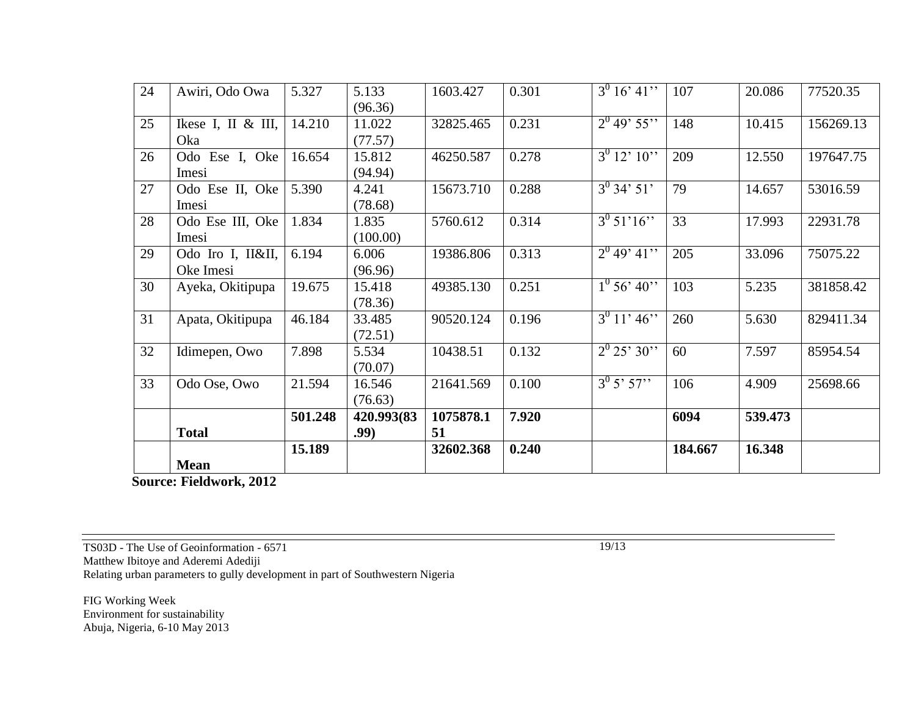| 24 | Awiri, Odo Owa       | 5.327   | 5.133      | 1603.427  | 0.301 | $3^0 \overline{16}$ 41"                   | 107     | 20.086  | 77520.35  |
|----|----------------------|---------|------------|-----------|-------|-------------------------------------------|---------|---------|-----------|
|    |                      |         | (96.36)    |           |       |                                           |         |         |           |
| 25 | Ikese I, II $&$ III, | 14.210  | 11.022     | 32825.465 | 0.231 | $2^0$ 49' 55"                             | 148     | 10.415  | 156269.13 |
|    | Oka                  |         | (77.57)    |           |       |                                           |         |         |           |
| 26 | Odo Ese I, Oke       | 16.654  | 15.812     | 46250.587 | 0.278 | $3^0$ 12' 10''                            | 209     | 12.550  | 197647.75 |
|    | Imesi                |         | (94.94)    |           |       |                                           |         |         |           |
| 27 | Odo Ese II, Oke      | 5.390   | 4.241      | 15673.710 | 0.288 | $3^0$ 34' 51'                             | 79      | 14.657  | 53016.59  |
|    | Imesi                |         | (78.68)    |           |       |                                           |         |         |           |
| 28 | Odo Ese III, Oke     | 1.834   | 1.835      | 5760.612  | 0.314 | $3^0\,51^{\prime\prime}16^{\prime\prime}$ | 33      | 17.993  | 22931.78  |
|    | Imesi                |         | (100.00)   |           |       |                                           |         |         |           |
| 29 | Odo Iro I, II&II,    | 6.194   | 6.006      | 19386.806 | 0.313 | $\sqrt{2^0}$ 49' 41''                     | 205     | 33.096  | 75075.22  |
|    | Oke Imesi            |         | (96.96)    |           |       |                                           |         |         |           |
| 30 | Ayeka, Okitipupa     | 19.675  | 15.418     | 49385.130 | 0.251 | $1^0$ 56' 40''                            | 103     | 5.235   | 381858.42 |
|    |                      |         | (78.36)    |           |       |                                           |         |         |           |
| 31 | Apata, Okitipupa     | 46.184  | 33.485     | 90520.124 | 0.196 | $3^0$ 11' 46''                            | 260     | 5.630   | 829411.34 |
|    |                      |         | (72.51)    |           |       |                                           |         |         |           |
| 32 | Idimepen, Owo        | 7.898   | 5.534      | 10438.51  | 0.132 | $2^0 25' 30''$                            | 60      | 7.597   | 85954.54  |
|    |                      |         | (70.07)    |           |       |                                           |         |         |           |
| 33 | Odo Ose, Owo         | 21.594  | 16.546     | 21641.569 | 0.100 | $3^0 5' 57''$                             | 106     | 4.909   | 25698.66  |
|    |                      |         | (76.63)    |           |       |                                           |         |         |           |
|    |                      | 501.248 | 420.993(83 | 1075878.1 | 7.920 |                                           | 6094    | 539.473 |           |
|    | <b>Total</b>         |         | .99)       | 51        |       |                                           |         |         |           |
|    |                      | 15.189  |            | 32602.368 | 0.240 |                                           | 184.667 | 16.348  |           |
|    | <b>Mean</b>          |         |            |           |       |                                           |         |         |           |

**Source: Fieldwork, 2012**

TS03D - The Use of Geoinformation - 6571 Matthew Ibitoye and Aderemi Adediji Relating urban parameters to gully development in part of Southwestern Nigeria

FIG Working Week Environment for sustainability Abuja, Nigeria, 6-10 May 2013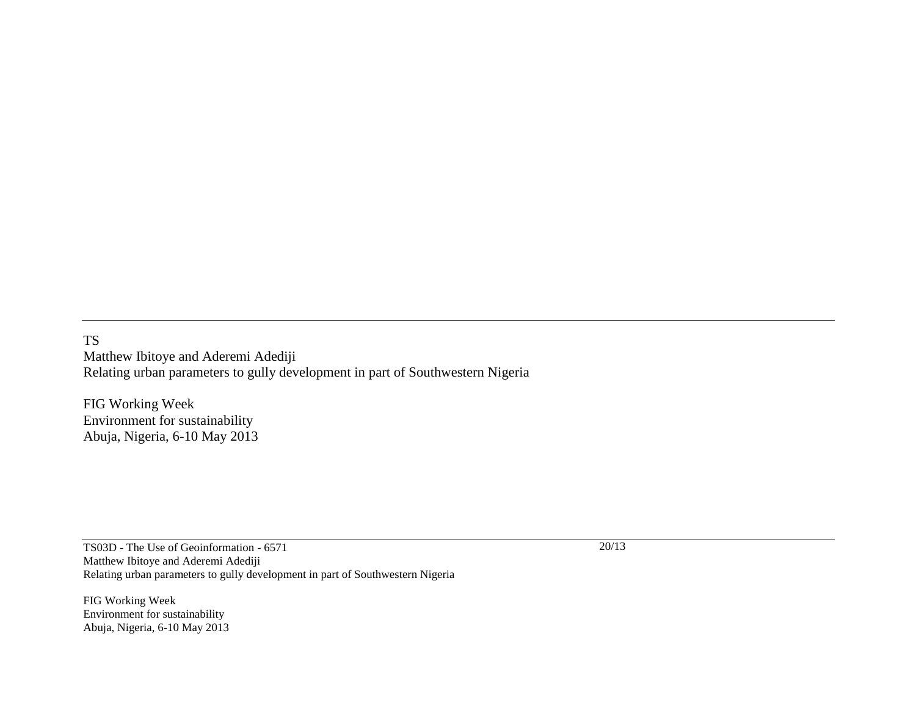TS Matthew Ibitoye and Aderemi Adediji Relating urban parameters to gully development in part of Southwestern Nigeria

FIG Working Week Environment for sustainability Abuja, Nigeria, 6-10 May 2013

TS03D - The Use of Geoinformation - 6571 Matthew Ibitoye and Aderemi Adediji Relating urban parameters to gully development in part of Southwestern Nigeria

FIG Working Week Environment for sustainability Abuja, Nigeria, 6-10 May 2013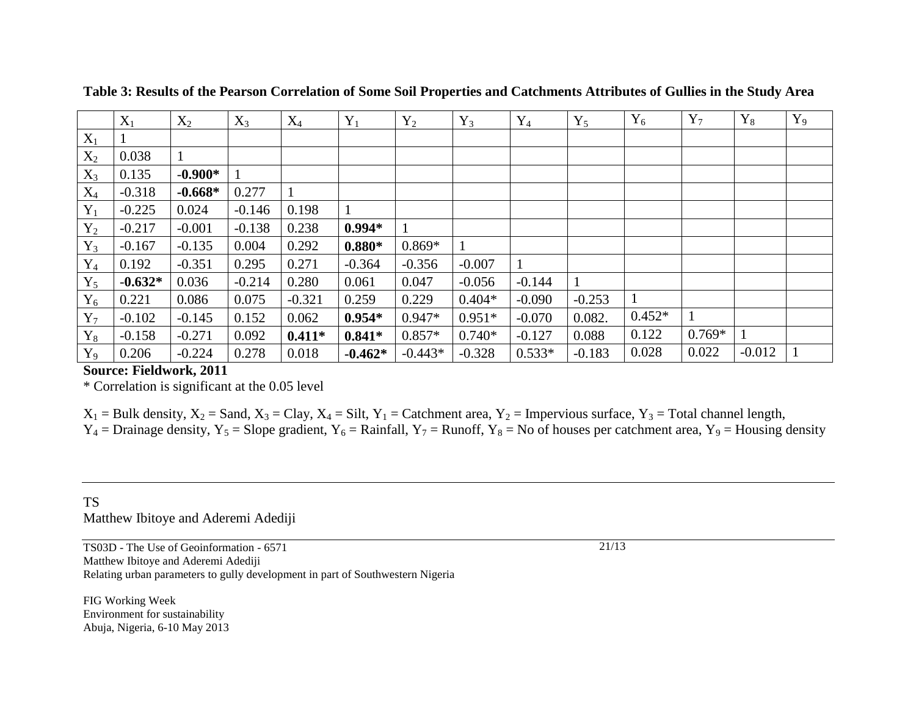|       | $X_1$     | $X_2$        | $X_3$    | $X_4$    | $Y_1$     | $Y_2$     | $Y_3$    | $Y_4$        | $Y_5$    | $Y_6$    | $Y_7$    | $Y_8$    | $Y_9$ |
|-------|-----------|--------------|----------|----------|-----------|-----------|----------|--------------|----------|----------|----------|----------|-------|
| $X_1$ |           |              |          |          |           |           |          |              |          |          |          |          |       |
| $X_2$ | 0.038     | $\mathbf{1}$ |          |          |           |           |          |              |          |          |          |          |       |
| $X_3$ | 0.135     | $-0.900*$    |          |          |           |           |          |              |          |          |          |          |       |
| $X_4$ | $-0.318$  | $-0.668*$    | 0.277    |          |           |           |          |              |          |          |          |          |       |
| $Y_1$ | $-0.225$  | 0.024        | $-0.146$ | 0.198    | 1         |           |          |              |          |          |          |          |       |
| $Y_2$ | $-0.217$  | $-0.001$     | $-0.138$ | 0.238    | $0.994*$  |           |          |              |          |          |          |          |       |
| $Y_3$ | $-0.167$  | $-0.135$     | 0.004    | 0.292    | $0.880*$  | $0.869*$  |          |              |          |          |          |          |       |
| $Y_4$ | 0.192     | $-0.351$     | 0.295    | 0.271    | $-0.364$  | $-0.356$  | $-0.007$ | $\mathbf{1}$ |          |          |          |          |       |
| $Y_5$ | $-0.632*$ | 0.036        | $-0.214$ | 0.280    | 0.061     | 0.047     | $-0.056$ | $-0.144$     |          |          |          |          |       |
| $Y_6$ | 0.221     | 0.086        | 0.075    | $-0.321$ | 0.259     | 0.229     | $0.404*$ | $-0.090$     | $-0.253$ |          |          |          |       |
| $Y_7$ | $-0.102$  | $-0.145$     | 0.152    | 0.062    | $0.954*$  | $0.947*$  | $0.951*$ | $-0.070$     | 0.082.   | $0.452*$ |          |          |       |
| $Y_8$ | $-0.158$  | $-0.271$     | 0.092    | $0.411*$ | $0.841*$  | $0.857*$  | $0.740*$ | $-0.127$     | 0.088    | 0.122    | $0.769*$ |          |       |
| $Y_9$ | 0.206     | $-0.224$     | 0.278    | 0.018    | $-0.462*$ | $-0.443*$ | $-0.328$ | $0.533*$     | $-0.183$ | 0.028    | 0.022    | $-0.012$ |       |

**Table 3: Results of the Pearson Correlation of Some Soil Properties and Catchments Attributes of Gullies in the Study Area**

#### **Source: Fieldwork, 2011**

\* Correlation is significant at the 0.05 level

 $X_1 =$  Bulk density,  $X_2 =$  Sand,  $X_3 =$  Clay,  $X_4 =$  Silt,  $Y_1 =$  Catchment area,  $Y_2 =$  Impervious surface,  $Y_3 =$  Total channel length,  $Y_4$  = Drainage density,  $Y_5$  = Slope gradient,  $Y_6$  = Rainfall,  $Y_7$  = Runoff,  $Y_8$  = No of houses per catchment area,  $Y_9$  = Housing density

## TS Matthew Ibitoye and Aderemi Adediji

TS03D - The Use of Geoinformation - 6571 Matthew Ibitoye and Aderemi Adediji Relating urban parameters to gully development in part of Southwestern Nigeria

FIG Working Week Environment for sustainability Abuja, Nigeria, 6-10 May 2013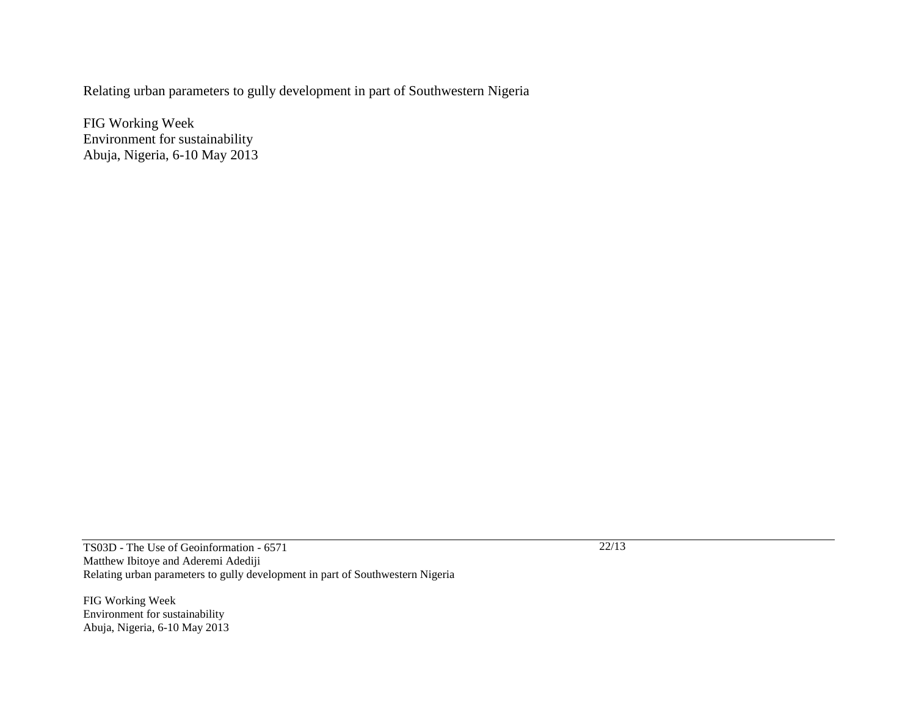Relating urban parameters to gully development in part of Southwestern Nigeria

FIG Working Week Environment for sustainability Abuja, Nigeria, 6-10 May 2013

TS03D - The Use of Geoinformation - 6571 Matthew Ibitoye and Aderemi Adediji Relating urban parameters to gully development in part of Southwestern Nigeria

FIG Working Week Environment for sustainability Abuja, Nigeria, 6-10 May 2013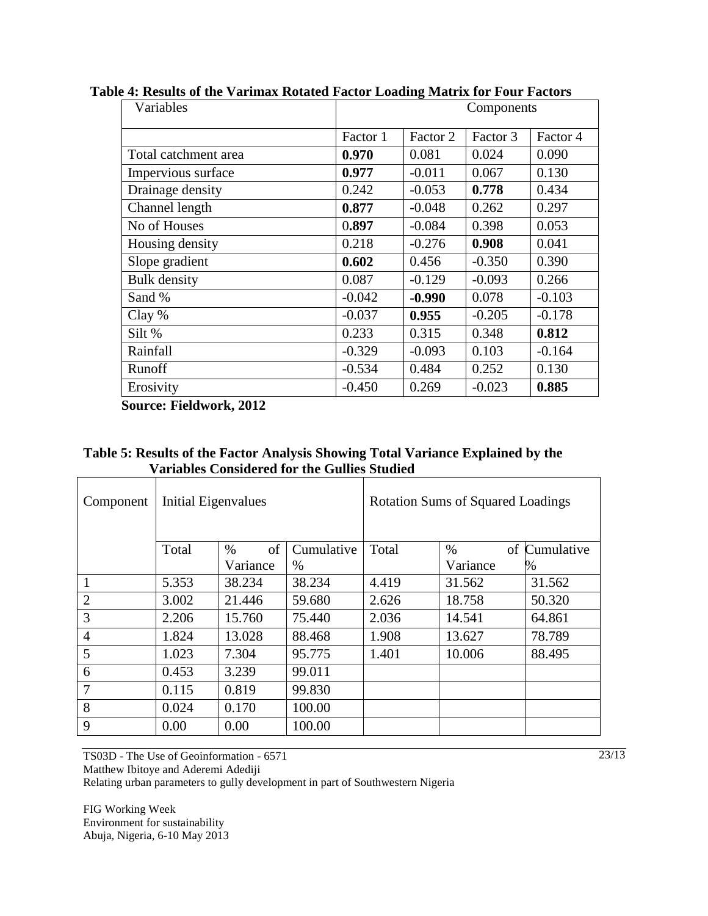| Variables            | Components |          |          |          |  |  |
|----------------------|------------|----------|----------|----------|--|--|
|                      | Factor 1   | Factor 2 | Factor 3 | Factor 4 |  |  |
| Total catchment area | 0.970      | 0.081    | 0.024    | 0.090    |  |  |
| Impervious surface   | 0.977      | $-0.011$ | 0.067    | 0.130    |  |  |
| Drainage density     | 0.242      | $-0.053$ | 0.778    | 0.434    |  |  |
| Channel length       | 0.877      | $-0.048$ | 0.262    | 0.297    |  |  |
| No of Houses         | 0.897      | $-0.084$ | 0.398    | 0.053    |  |  |
| Housing density      | 0.218      | $-0.276$ | 0.908    | 0.041    |  |  |
| Slope gradient       | 0.602      | 0.456    | $-0.350$ | 0.390    |  |  |
| <b>Bulk</b> density  | 0.087      | $-0.129$ | $-0.093$ | 0.266    |  |  |
| Sand %               | $-0.042$   | $-0.990$ | 0.078    | $-0.103$ |  |  |
| Clay $%$             | $-0.037$   | 0.955    | $-0.205$ | $-0.178$ |  |  |
| Silt %               | 0.233      | 0.315    | 0.348    | 0.812    |  |  |
| Rainfall             | $-0.329$   | $-0.093$ | 0.103    | $-0.164$ |  |  |
| Runoff               | $-0.534$   | 0.484    | 0.252    | 0.130    |  |  |
| Erosivity            | $-0.450$   | 0.269    | $-0.023$ | 0.885    |  |  |

**Table 4: Results of the Varimax Rotated Factor Loading Matrix for Four Factors**

**Source: Fieldwork, 2012**

**Table 5: Results of the Factor Analysis Showing Total Variance Explained by the Variables Considered for the Gullies Studied** 

| Component      | Initial Eigenvalues |            |            | <b>Rotation Sums of Squared Loadings</b> |            |            |  |
|----------------|---------------------|------------|------------|------------------------------------------|------------|------------|--|
|                | Total               | $\%$<br>of | Cumulative | Total                                    | $\%$<br>οf | Cumulative |  |
|                |                     | Variance   | $\%$       |                                          | Variance   | %          |  |
|                | 5.353               | 38.234     | 38.234     | 4.419                                    | 31.562     | 31.562     |  |
| $\overline{2}$ | 3.002               | 21.446     | 59.680     | 2.626                                    | 18.758     | 50.320     |  |
| 3              | 2.206               | 15.760     | 75.440     | 2.036                                    | 14.541     | 64.861     |  |
| $\overline{4}$ | 1.824               | 13.028     | 88.468     | 1.908                                    | 13.627     | 78.789     |  |
| 5              | 1.023               | 7.304      | 95.775     | 1.401                                    | 10.006     | 88.495     |  |
| 6              | 0.453               | 3.239      | 99.011     |                                          |            |            |  |
| $\overline{7}$ | 0.115               | 0.819      | 99.830     |                                          |            |            |  |
| 8              | 0.024               | 0.170      | 100.00     |                                          |            |            |  |
| 9              | 0.00                | 0.00       | 100.00     |                                          |            |            |  |

TS03D - The Use of Geoinformation - 6571

Matthew Ibitoye and Aderemi Adediji

Relating urban parameters to gully development in part of Southwestern Nigeria

FIG Working Week Environment for sustainability Abuja, Nigeria, 6-10 May 2013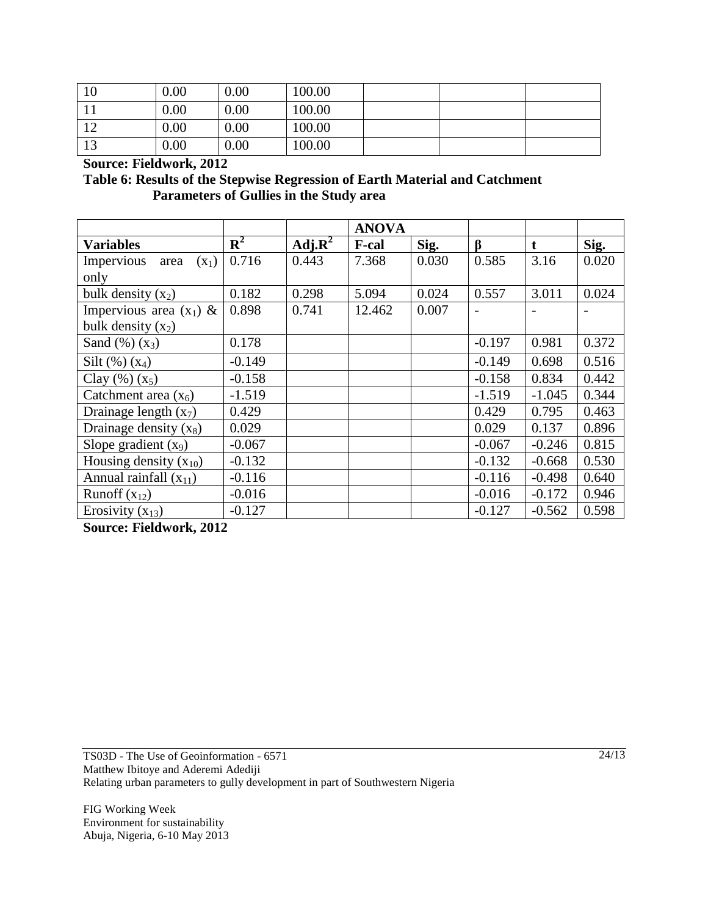| 10                   | 0.00 | 0.00 | 100.00 |  |  |
|----------------------|------|------|--------|--|--|
|                      | 0.00 | 0.00 | 100.00 |  |  |
| 1 <sub>2</sub><br>⊥∠ | 0.00 | 0.00 | 100.00 |  |  |
| 13                   | 0.00 | 0.00 | 100.00 |  |  |

**Source: Fieldwork, 2012**

**Table 6: Results of the Stepwise Regression of Earth Material and Catchment Parameters of Gullies in the Study area**

|                               |                           |            | <b>ANOVA</b> |       |                      |          |       |
|-------------------------------|---------------------------|------------|--------------|-------|----------------------|----------|-------|
| <b>Variables</b>              | $\overline{\mathbf{R}^2}$ | Adj. $R^2$ | <b>F-cal</b> | Sig.  | $\boldsymbol{\beta}$ | t        | Sig.  |
| Impervious<br>$(x_1)$<br>area | 0.716                     | 0.443      | 7.368        | 0.030 | 0.585                | 3.16     | 0.020 |
| only                          |                           |            |              |       |                      |          |       |
| bulk density $(x_2)$          | 0.182                     | 0.298      | 5.094        | 0.024 | 0.557                | 3.011    | 0.024 |
| Impervious area $(x_1)$ &     | 0.898                     | 0.741      | 12.462       | 0.007 |                      |          |       |
| bulk density $(x_2)$          |                           |            |              |       |                      |          |       |
| Sand $(\frac{6}{3}) (x_3)$    | 0.178                     |            |              |       | $-0.197$             | 0.981    | 0.372 |
| Silt $(\%) (x_4)$             | $-0.149$                  |            |              |       | $-0.149$             | 0.698    | 0.516 |
| Clay $(\%)(x_5)$              | $-0.158$                  |            |              |       | $-0.158$             | 0.834    | 0.442 |
| Catchment area $(x_6)$        | $-1.519$                  |            |              |       | $-1.519$             | $-1.045$ | 0.344 |
| Drainage length $(x_7)$       | 0.429                     |            |              |       | 0.429                | 0.795    | 0.463 |
| Drainage density $(x_8)$      | 0.029                     |            |              |       | 0.029                | 0.137    | 0.896 |
| Slope gradient $(x_9)$        | $-0.067$                  |            |              |       | $-0.067$             | $-0.246$ | 0.815 |
| Housing density $(x_{10})$    | $-0.132$                  |            |              |       | $-0.132$             | $-0.668$ | 0.530 |
| Annual rainfall $(x_{11})$    | $-0.116$                  |            |              |       | $-0.116$             | $-0.498$ | 0.640 |
| Runoff $(x_{12})$             | $-0.016$                  |            |              |       | $-0.016$             | $-0.172$ | 0.946 |
| Erosivity $(x_{13})$          | $-0.127$                  |            |              |       | $-0.127$             | $-0.562$ | 0.598 |

**Source: Fieldwork, 2012**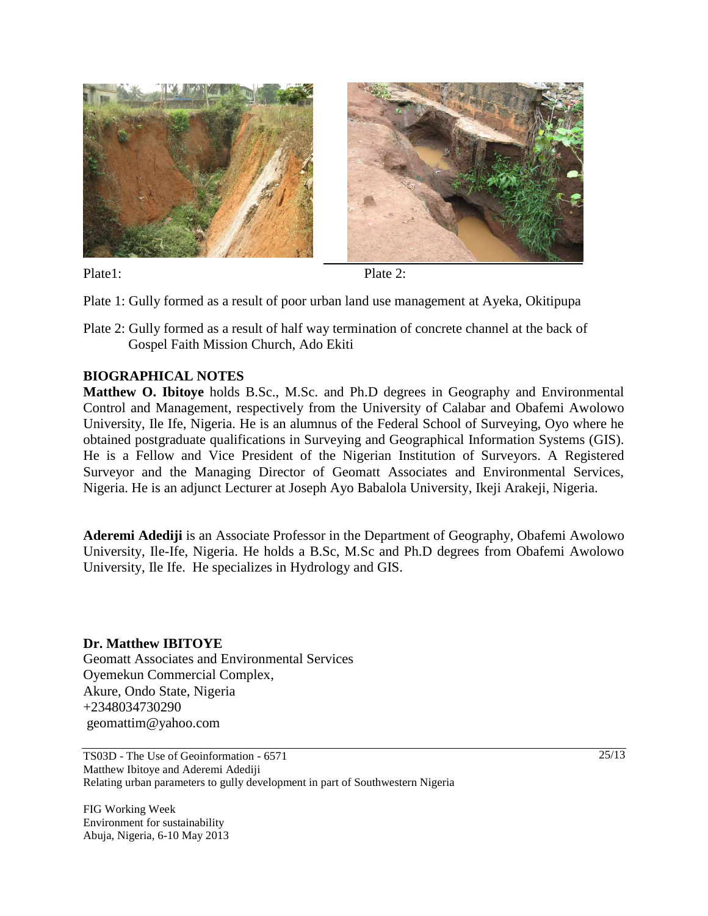

Plate1: Plate 2:

Plate 1: Gully formed as a result of poor urban land use management at Ayeka, Okitipupa

Plate 2: Gully formed as a result of half way termination of concrete channel at the back of Gospel Faith Mission Church, Ado Ekiti

### **BIOGRAPHICAL NOTES**

**Matthew O. Ibitoye** holds B.Sc., M.Sc. and Ph.D degrees in Geography and Environmental Control and Management, respectively from the University of Calabar and Obafemi Awolowo University, Ile Ife, Nigeria. He is an alumnus of the Federal School of Surveying, Oyo where he obtained postgraduate qualifications in Surveying and Geographical Information Systems (GIS). He is a Fellow and Vice President of the Nigerian Institution of Surveyors. A Registered Surveyor and the Managing Director of Geomatt Associates and Environmental Services, Nigeria. He is an adjunct Lecturer at Joseph Ayo Babalola University, Ikeji Arakeji, Nigeria.

**Aderemi Adediji** is an Associate Professor in the Department of Geography, Obafemi Awolowo University, Ile-Ife, Nigeria. He holds a B.Sc, M.Sc and Ph.D degrees from Obafemi Awolowo University, Ile Ife. He specializes in Hydrology and GIS.

#### **Dr. Matthew IBITOYE**

Geomatt Associates and Environmental Services Oyemekun Commercial Complex, Akure, Ondo State, Nigeria +2348034730290 geomattim@yahoo.com

TS03D - The Use of Geoinformation - 6571 Matthew Ibitoye and Aderemi Adediji Relating urban parameters to gully development in part of Southwestern Nigeria

FIG Working Week Environment for sustainability Abuja, Nigeria, 6-10 May 2013